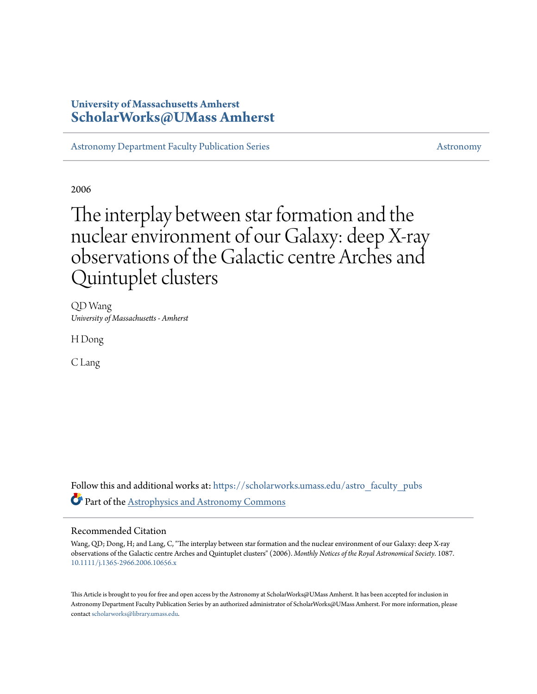# **University of Massachusetts Amherst [ScholarWorks@UMass Amherst](https://scholarworks.umass.edu?utm_source=scholarworks.umass.edu%2Fastro_faculty_pubs%2F1087&utm_medium=PDF&utm_campaign=PDFCoverPages)**

[Astronomy Department Faculty Publication Series](https://scholarworks.umass.edu/astro_faculty_pubs?utm_source=scholarworks.umass.edu%2Fastro_faculty_pubs%2F1087&utm_medium=PDF&utm_campaign=PDFCoverPages) [Astronomy](https://scholarworks.umass.edu/astro?utm_source=scholarworks.umass.edu%2Fastro_faculty_pubs%2F1087&utm_medium=PDF&utm_campaign=PDFCoverPages) Astronomy

2006

# The interplay between star formation and the nuclear environment of our Galaxy: deep X-ray observations of the Galactic centre Arches and Quintuplet clusters

QD Wang *University of Massachusetts - Amherst*

H Dong

C Lang

Follow this and additional works at: [https://scholarworks.umass.edu/astro\\_faculty\\_pubs](https://scholarworks.umass.edu/astro_faculty_pubs?utm_source=scholarworks.umass.edu%2Fastro_faculty_pubs%2F1087&utm_medium=PDF&utm_campaign=PDFCoverPages) Part of the [Astrophysics and Astronomy Commons](http://network.bepress.com/hgg/discipline/123?utm_source=scholarworks.umass.edu%2Fastro_faculty_pubs%2F1087&utm_medium=PDF&utm_campaign=PDFCoverPages)

# Recommended Citation

Wang, QD; Dong, H; and Lang, C, "The interplay between star formation and the nuclear environment of our Galaxy: deep X-ray observations of the Galactic centre Arches and Quintuplet clusters" (2006). *Monthly Notices of the Royal Astronomical Society*. 1087. <10.1111/j.1365-2966.2006.10656.x>

This Article is brought to you for free and open access by the Astronomy at ScholarWorks@UMass Amherst. It has been accepted for inclusion in Astronomy Department Faculty Publication Series by an authorized administrator of ScholarWorks@UMass Amherst. For more information, please contact [scholarworks@library.umass.edu](mailto:scholarworks@library.umass.edu).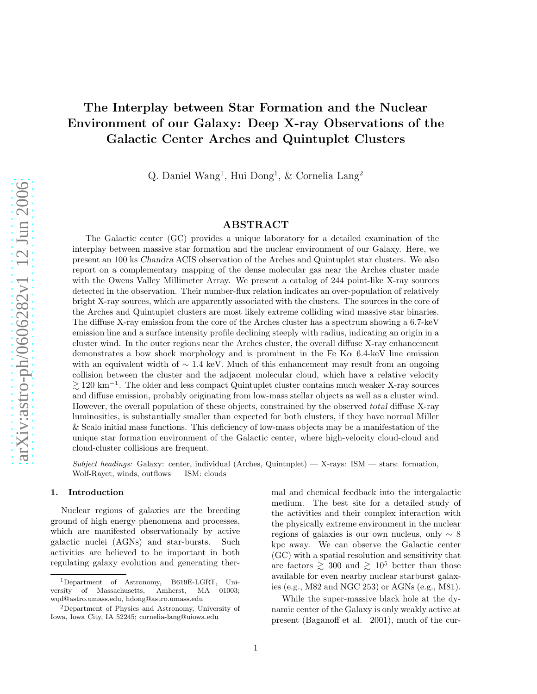# The Interplay between Star Formation and the Nuclear Environment of our Galaxy: Deep X-ray Observations of the Galactic Center Arches and Quintuplet Clusters

Q. Daniel Wang<sup>1</sup>, Hui Dong<sup>1</sup>, & Cornelia Lang<sup>2</sup>

# ABSTRACT

The Galactic center (GC) provides a unique laboratory for a detailed examination of the interplay between massive star formation and the nuclear environment of our Galaxy. Here, we present an 100 ks Chandra ACIS observation of the Arches and Quintuplet star clusters. We also report on a complementary mapping of the dense molecular gas near the Arches cluster made with the Owens Valley Millimeter Array. We present a catalog of 244 point-like X-ray sources detected in the observation. Their number-flux relation indicates an over-population of relatively bright X-ray sources, which are apparently associated with the clusters. The sources in the core of the Arches and Quintuplet clusters are most likely extreme colliding wind massive star binaries. The diffuse X-ray emission from the core of the Arches cluster has a spectrum showing a 6.7-keV emission line and a surface intensity profile declining steeply with radius, indicating an origin in a cluster wind. In the outer regions near the Arches cluster, the overall diffuse X-ray enhancement demonstrates a bow shock morphology and is prominent in the Fe K $\alpha$  6.4-keV line emission with an equivalent width of  $\sim 1.4$  keV. Much of this enhancement may result from an ongoing collision between the cluster and the adjacent molecular cloud, which have a relative velocity  $\gtrsim$  120 km<sup>-1</sup>. The older and less compact Quintuplet cluster contains much weaker X-ray sources and diffuse emission, probably originating from low-mass stellar objects as well as a cluster wind. However, the overall population of these objects, constrained by the observed total diffuse X-ray luminosities, is substantially smaller than expected for both clusters, if they have normal Miller & Scalo initial mass functions. This deficiency of low-mass objects may be a manifestation of the unique star formation environment of the Galactic center, where high-velocity cloud-cloud and cloud-cluster collisions are frequent.

Subject headings: Galaxy: center, individual (Arches, Quintuplet) — X-rays: ISM — stars: formation, Wolf-Rayet, winds, outflows — ISM: clouds

#### 1. Introduction

Nuclear regions of galaxies are the breeding ground of high energy phenomena and processes, which are manifested observationally by active galactic nuclei (AGNs) and star-bursts. Such activities are believed to be important in both regulating galaxy evolution and generating thermal and chemical feedback into the intergalactic medium. The best site for a detailed study of the activities and their complex interaction with the physically extreme environment in the nuclear regions of galaxies is our own nucleus, only ∼ 8 kpc away. We can observe the Galactic center (GC) with a spatial resolution and sensitivity that are factors  $\geq 300$  and  $\geq 10^5$  better than those available for even nearby nuclear starburst galaxies (e.g., M82 and NGC 253) or AGNs (e.g., M81).

While the super-massive black hole at the dynamic center of the Galaxy is only weakly active at present (Baganoff et al. 2001), much of the cur-

<sup>1</sup>Department of Astronomy, B619E-LGRT, University of Massachusetts, Amherst, MA 01003; wqd@astro.umass.edu, hdong@astro.umass.edu

<sup>2</sup>Department of Physics and Astronomy, University of Iowa, Iowa City, IA 52245; cornelia-lang@uiowa.edu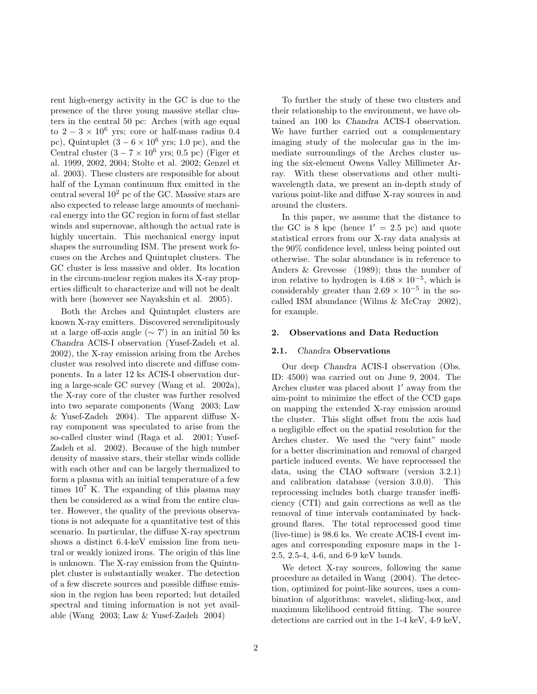rent high-energy activity in the GC is due to the presence of the three young massive stellar clusters in the central 50 pc: Arches (with age equal to  $2 - 3 \times 10^6$  yrs; core or half-mass radius 0.4 pc), Quintuplet  $(3 - 6 \times 10^6 \text{ yrs}; 1.0 \text{ pc})$ , and the Central cluster  $(3 - 7 \times 10^6 \text{ yrs}; 0.5 \text{ pc})$  (Figer et al. 1999, 2002, 2004; Stolte et al. 2002; Genzel et al. 2003). These clusters are responsible for about half of the Lyman continuum flux emitted in the central several  $10^2$  pc of the GC. Massive stars are also expected to release large amounts of mechanical energy into the GC region in form of fast stellar winds and supernovae, although the actual rate is highly uncertain. This mechanical energy input shapes the surrounding ISM. The present work focuses on the Arches and Quintuplet clusters. The GC cluster is less massive and older. Its location in the circum-nuclear region makes its X-ray properties difficult to characterize and will not be dealt with here (however see Nayakshin et al. 2005).

Both the Arches and Quintuplet clusters are known X-ray emitters. Discovered serendipitously at a large off-axis angle  $({\sim 7'})$  in an initial 50 ks Chandra ACIS-I observation (Yusef-Zadeh et al. 2002), the X-ray emission arising from the Arches cluster was resolved into discrete and diffuse components. In a later 12 ks ACIS-I observation during a large-scale GC survey (Wang et al. 2002a), the X-ray core of the cluster was further resolved into two separate components (Wang 2003; Law & Yusef-Zadeh 2004). The apparent diffuse Xray component was speculated to arise from the so-called cluster wind (Raga et al. 2001; Yusef-Zadeh et al. 2002). Because of the high number density of massive stars, their stellar winds collide with each other and can be largely thermalized to form a plasma with an initial temperature of a few times  $10^7$  K. The expanding of this plasma may then be considered as a wind from the entire cluster. However, the quality of the previous observations is not adequate for a quantitative test of this scenario. In particular, the diffuse X-ray spectrum shows a distinct 6.4-keV emission line from neutral or weakly ionized irons. The origin of this line is unknown. The X-ray emission from the Quintuplet cluster is substantially weaker. The detection of a few discrete sources and possible diffuse emission in the region has been reported; but detailed spectral and timing information is not yet available (Wang 2003; Law & Yusef-Zadeh 2004)

To further the study of these two clusters and their relationship to the environment, we have obtained an 100 ks Chandra ACIS-I observation. We have further carried out a complementary imaging study of the molecular gas in the immediate surroundings of the Arches cluster using the six-element Owens Valley Millimeter Array. With these observations and other multiwavelength data, we present an in-depth study of various point-like and diffuse X-ray sources in and around the clusters.

In this paper, we assume that the distance to the GC is 8 kpc (hence  $1' = 2.5$  pc) and quote statistical errors from our X-ray data analysis at the 90% confidence level, unless being pointed out otherwise. The solar abundance is in reference to Anders & Grevesse (1989); thus the number of iron relative to hydrogen is  $4.68 \times 10^{-5}$ , which is considerably greater than  $2.69 \times 10^{-5}$  in the socalled ISM abundance (Wilms & McCray 2002), for example.

# 2. Observations and Data Reduction

#### 2.1. Chandra Observations

Our deep Chandra ACIS-I observation (Obs. ID: 4500) was carried out on June 9, 2004. The Arches cluster was placed about 1′ away from the aim-point to minimize the effect of the CCD gaps on mapping the extended X-ray emission around the cluster. This slight offset from the axis had a negligible effect on the spatial resolution for the Arches cluster. We used the "very faint" mode for a better discrimination and removal of charged particle induced events. We have reprocessed the data, using the CIAO software (version 3.2.1) and calibration database (version 3.0.0). This reprocessing includes both charge transfer inefficiency (CTI) and gain corrections as well as the removal of time intervals contaminated by background flares. The total reprocessed good time (live-time) is 98.6 ks. We create ACIS-I event images and corresponding exposure maps in the 1- 2.5, 2.5-4, 4-6, and 6-9 keV bands.

We detect X-ray sources, following the same procedure as detailed in Wang (2004). The detection, optimized for point-like sources, uses a combination of algorithms: wavelet, sliding-box, and maximum likelihood centroid fitting. The source detections are carried out in the 1-4 keV, 4-9 keV,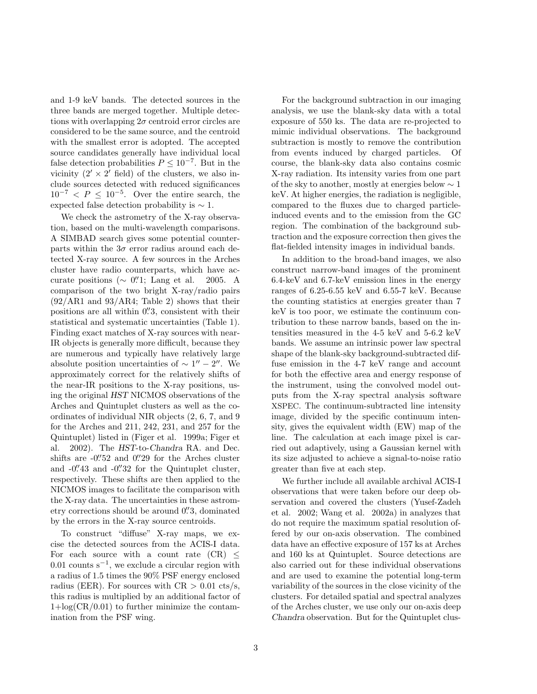and 1-9 keV bands. The detected sources in the three bands are merged together. Multiple detections with overlapping  $2\sigma$  centroid error circles are considered to be the same source, and the centroid with the smallest error is adopted. The accepted source candidates generally have individual local false detection probabilities  $P \leq 10^{-7}$ . But in the vicinity  $(2' \times 2'$  field) of the clusters, we also include sources detected with reduced significances  $10^{-7} < P \le 10^{-5}$ . Over the entire search, the expected false detection probability is  $\sim$  1.

We check the astrometry of the X-ray observation, based on the multi-wavelength comparisons. A SIMBAD search gives some potential counterparts within the  $3\sigma$  error radius around each detected X-ray source. A few sources in the Arches cluster have radio counterparts, which have accurate positions ( $\sim$  0".1; Lang et al. 2005. A comparison of the two bright X-ray/radio pairs  $(92/AR1$  and  $93/AR4$ ; Table 2) shows that their positions are all within 0". S, consistent with their statistical and systematic uncertainties (Table 1). Finding exact matches of X-ray sources with near-IR objects is generally more difficult, because they are numerous and typically have relatively large absolute position uncertainties of  $\sim 1'' - 2''$ . We approximately correct for the relatively shifts of the near-IR positions to the X-ray positions, using the original HST NICMOS observations of the Arches and Quintuplet clusters as well as the coordinates of individual NIR objects (2, 6, 7, and 9 for the Arches and 211, 242, 231, and 257 for the Quintuplet) listed in (Figer et al. 1999a; Figer et al. 2002). The HST-to-Chandra RA. and Dec. shifts are  $-0.^{\prime\prime}52$  and  $0.^{\prime\prime}29$  for the Arches cluster and  $-0''$ . 43 and  $-0''$ . 32 for the Quintuplet cluster, respectively. These shifts are then applied to the NICMOS images to facilitate the comparison with the X-ray data. The uncertainties in these astrometry corrections should be around 0.'3, dominated by the errors in the X-ray source centroids.

To construct "diffuse" X-ray maps, we excise the detected sources from the ACIS-I data. For each source with a count rate  $(CR) \leq$ 0.01 counts  $s^{-1}$ , we exclude a circular region with a radius of 1.5 times the 90% PSF energy enclosed radius (EER). For sources with  $CR > 0.01$  cts/s, this radius is multiplied by an additional factor of  $1+\log(\text{CR}/0.01)$  to further minimize the contamination from the PSF wing.

For the background subtraction in our imaging analysis, we use the blank-sky data with a total exposure of 550 ks. The data are re-projected to mimic individual observations. The background subtraction is mostly to remove the contribution from events induced by charged particles. Of course, the blank-sky data also contains cosmic X-ray radiation. Its intensity varies from one part of the sky to another, mostly at energies below  $\sim 1$ keV. At higher energies, the radiation is negligible, compared to the fluxes due to charged particleinduced events and to the emission from the GC region. The combination of the background subtraction and the exposure correction then gives the flat-fielded intensity images in individual bands.

In addition to the broad-band images, we also construct narrow-band images of the prominent 6.4-keV and 6.7-keV emission lines in the energy ranges of 6.25-6.55 keV and 6.55-7 keV. Because the counting statistics at energies greater than 7 keV is too poor, we estimate the continuum contribution to these narrow bands, based on the intensities measured in the 4-5 keV and 5-6.2 keV bands. We assume an intrinsic power law spectral shape of the blank-sky background-subtracted diffuse emission in the 4-7 keV range and account for both the effective area and energy response of the instrument, using the convolved model outputs from the X-ray spectral analysis software XSPEC. The continuum-subtracted line intensity image, divided by the specific continuum intensity, gives the equivalent width (EW) map of the line. The calculation at each image pixel is carried out adaptively, using a Gaussian kernel with its size adjusted to achieve a signal-to-noise ratio greater than five at each step.

We further include all available archival ACIS-I observations that were taken before our deep observation and covered the clusters (Yusef-Zadeh et al. 2002; Wang et al. 2002a) in analyzes that do not require the maximum spatial resolution offered by our on-axis observation. The combined data have an effective exposure of 157 ks at Arches and 160 ks at Quintuplet. Source detections are also carried out for these individual observations and are used to examine the potential long-term variability of the sources in the close vicinity of the clusters. For detailed spatial and spectral analyzes of the Arches cluster, we use only our on-axis deep Chandra observation. But for the Quintuplet clus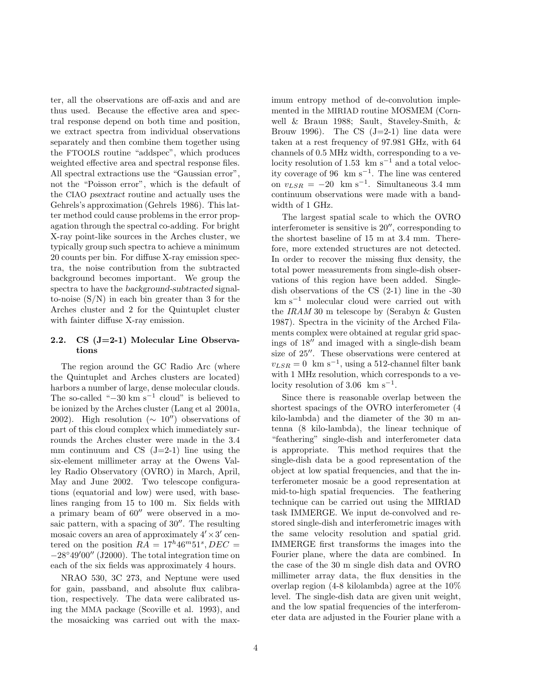ter, all the observations are off-axis and and are thus used. Because the effective area and spectral response depend on both time and position, we extract spectra from individual observations separately and then combine them together using the FTOOLS routine "addspec", which produces weighted effective area and spectral response files. All spectral extractions use the "Gaussian error", not the "Poisson error", which is the default of the CIAO psextract routine and actually uses the Gehrels's approximation (Gehrels 1986). This latter method could cause problems in the error propagation through the spectral co-adding. For bright X-ray point-like sources in the Arches cluster, we typically group such spectra to achieve a minimum 20 counts per bin. For diffuse X-ray emission spectra, the noise contribution from the subtracted background becomes important. We group the spectra to have the background-subtracted signalto-noise  $(S/N)$  in each bin greater than 3 for the Arches cluster and 2 for the Quintuplet cluster with fainter diffuse X-ray emission.

# 2.2. CS (J=2-1) Molecular Line Observations

The region around the GC Radio Arc (where the Quintuplet and Arches clusters are located) harbors a number of large, dense molecular clouds. The so-called " $-30 \text{ km s}^{-1}$  cloud" is believed to be ionized by the Arches cluster (Lang et al 2001a, 2002). High resolution ( $\sim 10''$ ) observations of part of this cloud complex which immediately surrounds the Arches cluster were made in the 3.4 mm continuum and CS  $(J=2-1)$  line using the six-element millimeter array at the Owens Valley Radio Observatory (OVRO) in March, April, May and June 2002. Two telescope configurations (equatorial and low) were used, with baselines ranging from 15 to 100 m. Six fields with a primary beam of 60′′ were observed in a mosaic pattern, with a spacing of 30′′. The resulting mosaic covers an area of approximately  $4' \times 3'$  centered on the position  $RA = 17<sup>h</sup> 46<sup>m</sup> 51<sup>s</sup>, DEC =$  $-28°49'00''$  (J2000). The total integration time on each of the six fields was approximately 4 hours.

NRAO 530, 3C 273, and Neptune were used for gain, passband, and absolute flux calibration, respectively. The data were calibrated using the MMA package (Scoville et al. 1993), and the mosaicking was carried out with the maximum entropy method of de-convolution implemented in the MIRIAD routine MOSMEM (Cornwell & Braun 1988; Sault, Staveley-Smith, & Brouw 1996). The CS  $(J=2-1)$  line data were taken at a rest frequency of 97.981 GHz, with 64 channels of 0.5 MHz width, corresponding to a velocity resolution of 1.53 km s<sup> $-1$ </sup> and a total velocity coverage of 96 km s−<sup>1</sup> . The line was centered on  $v_{LSR} = -20$  km s<sup>-1</sup>. Simultaneous 3.4 mm continuum observations were made with a bandwidth of 1 GHz.

The largest spatial scale to which the OVRO interferometer is sensitive is 20′′, corresponding to the shortest baseline of 15 m at 3.4 mm. Therefore, more extended structures are not detected. In order to recover the missing flux density, the total power measurements from single-dish observations of this region have been added. Singledish observations of the CS (2-1) line in the -30 km s<sup>−</sup><sup>1</sup> molecular cloud were carried out with the IRAM 30 m telescope by (Serabyn & Gusten 1987). Spectra in the vicinity of the Arched Filaments complex were obtained at regular grid spacings of 18′′ and imaged with a single-dish beam size of 25′′. These observations were centered at  $v_{LSR} = 0$  km s<sup>-1</sup>, using a 512-channel filter bank with 1 MHz resolution, which corresponds to a velocity resolution of  $3.06 \; \mathrm{km} \; \mathrm{s}^{-1}$ .

Since there is reasonable overlap between the shortest spacings of the OVRO interferometer (4 kilo-lambda) and the diameter of the 30 m antenna (8 kilo-lambda), the linear technique of "feathering" single-dish and interferometer data is appropriate. This method requires that the single-dish data be a good representation of the object at low spatial frequencies, and that the interferometer mosaic be a good representation at mid-to-high spatial frequencies. The feathering technique can be carried out using the MIRIAD task IMMERGE. We input de-convolved and restored single-dish and interferometric images with the same velocity resolution and spatial grid. IMMERGE first transforms the images into the Fourier plane, where the data are combined. In the case of the 30 m single dish data and OVRO millimeter array data, the flux densities in the overlap region (4-8 kilolambda) agree at the 10% level. The single-dish data are given unit weight, and the low spatial frequencies of the interferometer data are adjusted in the Fourier plane with a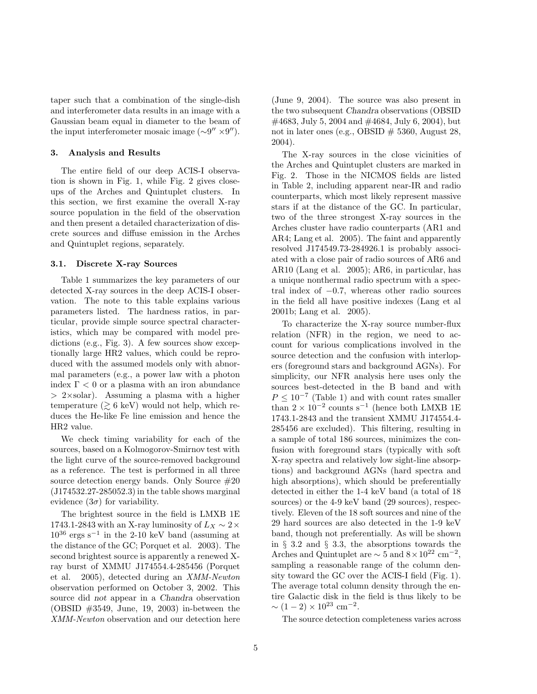taper such that a combination of the single-dish and interferometer data results in an image with a Gaussian beam equal in diameter to the beam of the input interferometer mosaic image  $(\sim 9'' \times 9'')$ .

#### 3. Analysis and Results

The entire field of our deep ACIS-I observation is shown in Fig. 1, while Fig. 2 gives closeups of the Arches and Quintuplet clusters. In this section, we first examine the overall X-ray source population in the field of the observation and then present a detailed characterization of discrete sources and diffuse emission in the Arches and Quintuplet regions, separately.

#### 3.1. Discrete X-ray Sources

Table 1 summarizes the key parameters of our detected X-ray sources in the deep ACIS-I observation. The note to this table explains various parameters listed. The hardness ratios, in particular, provide simple source spectral characteristics, which may be compared with model predictions (e.g., Fig. 3). A few sources show exceptionally large HR2 values, which could be reproduced with the assumed models only with abnormal parameters (e.g., a power law with a photon index  $\Gamma$  < 0 or a plasma with an iron abundance  $> 2 \times$ solar). Assuming a plasma with a higher temperature  $(\geq 6 \text{ keV})$  would not help, which reduces the He-like Fe line emission and hence the HR2 value.

We check timing variability for each of the sources, based on a Kolmogorov-Smirnov test with the light curve of the source-removed background as a reference. The test is performed in all three source detection energy bands. Only Source #20 (J174532.27-285052.3) in the table shows marginal evidence  $(3\sigma)$  for variability.

The brightest source in the field is LMXB 1E 1743.1-2843 with an X-ray luminosity of  $L_X \sim 2 \times$ 10<sup>36</sup> ergs s<sup>−</sup><sup>1</sup> in the 2-10 keV band (assuming at the distance of the GC; Porquet et al. 2003). The second brightest source is apparently a renewed Xray burst of XMMU J174554.4-285456 (Porquet et al. 2005), detected during an XMM-Newton observation performed on October 3, 2002. This source did not appear in a Chandra observation (OBSID #3549, June, 19, 2003) in-between the XMM-Newton observation and our detection here (June 9, 2004). The source was also present in the two subsequent Chandra observations (OBSID #4683, July 5, 2004 and #4684, July 6, 2004), but not in later ones (e.g., OBSID  $\#$  5360, August 28, 2004).

The X-ray sources in the close vicinities of the Arches and Quintuplet clusters are marked in Fig. 2. Those in the NICMOS fields are listed in Table 2, including apparent near-IR and radio counterparts, which most likely represent massive stars if at the distance of the GC. In particular, two of the three strongest X-ray sources in the Arches cluster have radio counterparts (AR1 and AR4; Lang et al. 2005). The faint and apparently resolved J174549.73-284926.1 is probably associated with a close pair of radio sources of AR6 and AR10 (Lang et al. 2005); AR6, in particular, has a unique nonthermal radio spectrum with a spectral index of −0.7, whereas other radio sources in the field all have positive indexes (Lang et al 2001b; Lang et al. 2005).

To characterize the X-ray source number-flux relation (NFR) in the region, we need to account for various complications involved in the source detection and the confusion with interlopers (foreground stars and background AGNs). For simplicity, our NFR analysis here uses only the sources best-detected in the B band and with  $P \leq 10^{-7}$  (Table 1) and with count rates smaller than  $2 \times 10^{-2}$  counts s<sup>-1</sup> (hence both LMXB 1E 1743.1-2843 and the transient XMMU J174554.4- 285456 are excluded). This filtering, resulting in a sample of total 186 sources, minimizes the confusion with foreground stars (typically with soft X-ray spectra and relatively low sight-line absorptions) and background AGNs (hard spectra and high absorptions), which should be preferentially detected in either the 1-4 keV band (a total of 18 sources) or the 4-9 keV band (29 sources), respectively. Eleven of the 18 soft sources and nine of the 29 hard sources are also detected in the 1-9 keV band, though not preferentially. As will be shown in § 3.2 and § 3.3, the absorptions towards the Arches and Quintuplet are  $\sim 5$  and  $8 \times 10^{22}$  cm<sup>-2</sup>, sampling a reasonable range of the column density toward the GC over the ACIS-I field (Fig. 1). The average total column density through the entire Galactic disk in the field is thus likely to be  $\sim (1-2) \times 10^{23}$  cm<sup>-2</sup>.

The source detection completeness varies across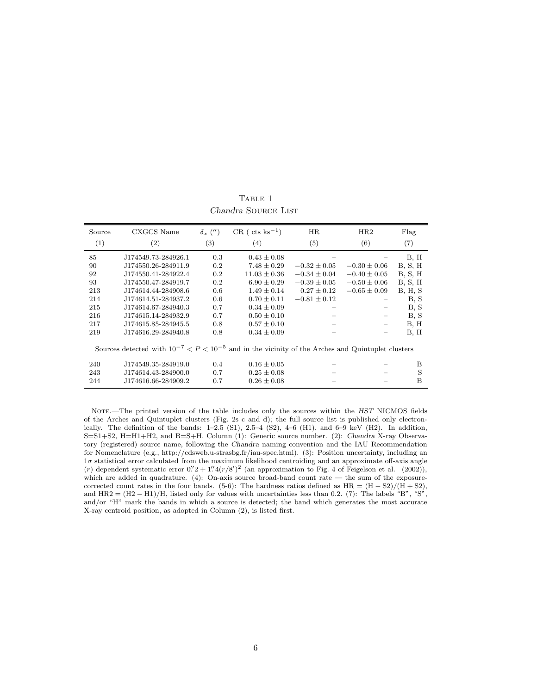| Source                                                                                                  | CXGCS Name          | $\delta_x$ ('') | $CR$ (cts ks <sup>-1</sup> ) | HR               | HR2                      |                 |  |
|---------------------------------------------------------------------------------------------------------|---------------------|-----------------|------------------------------|------------------|--------------------------|-----------------|--|
| (1)                                                                                                     | (2)                 | (3)             | $\left( 4\right)$            | (5)              | (6)                      | (7)             |  |
| 85                                                                                                      | J174549.73-284926.1 | 0.3             | $0.43 \pm 0.08$              |                  |                          | B, H            |  |
| 90                                                                                                      | J174550.26-284911.9 | 0.2             | $7.48 \pm 0.29$              | $-0.32 \pm 0.05$ | $-0.30 \pm 0.06$         | <b>B</b> , S, H |  |
| 92                                                                                                      | J174550.41-284922.4 | 0.2             | $11.03 \pm 0.36$             | $-0.34 \pm 0.04$ | $-0.40 \pm 0.05$         | B, S, H         |  |
| 93                                                                                                      | J174550.47-284919.7 | 0.2             | $6.90 \pm 0.29$              | $-0.39 \pm 0.05$ | $-0.50 \pm 0.06$         | B, S, H         |  |
| 213                                                                                                     | J174614.44-284908.6 | 0.6             | $1.49 \pm 0.14$              | $0.27 \pm 0.12$  | $-0.65 \pm 0.09$         | B, H, S         |  |
| 214                                                                                                     | J174614.51-284937.2 | 0.6             | $0.70 \pm 0.11$              | $-0.81 \pm 0.12$ |                          | B, S            |  |
| 215                                                                                                     | J174614.67-284940.3 | 0.7             | $0.34 \pm 0.09$              |                  |                          | B, S            |  |
| 216                                                                                                     | J174615.14-284932.9 | 0.7             | $0.50 \pm 0.10$              |                  |                          | B, S            |  |
| 217                                                                                                     | J174615.85-284945.5 | 0.8             | $0.57 \pm 0.10$              |                  | $\overline{\phantom{m}}$ | B, H            |  |
| 219                                                                                                     | J174616.29-284940.8 | 0.8             | $0.34 \pm 0.09$              |                  | -                        | B, H            |  |
| Sources detected with $10^{-7} < P < 10^{-5}$ and in the vicinity of the Arches and Quintuplet clusters |                     |                 |                              |                  |                          |                 |  |
| 240                                                                                                     | J174549.35-284919.0 | 0.4             | $0.16 \pm 0.05$              |                  |                          | B               |  |
| 243                                                                                                     | J174614.43-284900.0 | 0.7             | $0.25 \pm 0.08$              |                  |                          | S               |  |
| 244                                                                                                     | J174616.66-284909.2 | 0.7             | $0.26 \pm 0.08$              |                  |                          | B               |  |

TABLE 1 Chandra SOURCE LIST

Note.—The printed version of the table includes only the sources within the HST NICMOS fields of the Arches and Quintuplet clusters (Fig. 2s c and d); the full source list is published only electronically. The definition of the bands:  $1-2.5$  (S1),  $2.5-4$  (S2),  $4-6$  (H1), and  $6-9$  keV (H2). In addition, S=S1+S2, H=H1+H2, and B=S+H. Column (1): Generic source number. (2): Chandra X-ray Observatory (registered) source name, following the Chandra naming convention and the IAU Recommendation for Nomenclature (e.g., http://cdsweb.u-strasbg.fr/iau-spec.html). (3): Position uncertainty, including an 1σ statistical error calculated from the maximum likelihood centroiding and an approximate off-axis angle (r) dependent systematic error  $0''2 + 1''4(r/8')^2$  (an approximation to Fig. 4 of Feigelson et al. (2002)), which are added in quadrature. (4): On-axis source broad-band count rate — the sum of the exposurecorrected count rates in the four bands. (5-6): The hardness ratios defined as  $HR = (H - S2)/(H + S2)$ , and HR2 =  $(H2 - H1)/H$ , listed only for values with uncertainties less than 0.2. (7): The labels "B", "S", and/or "H" mark the bands in which a source is detected; the band which generates the most accurate X-ray centroid position, as adopted in Column (2), is listed first.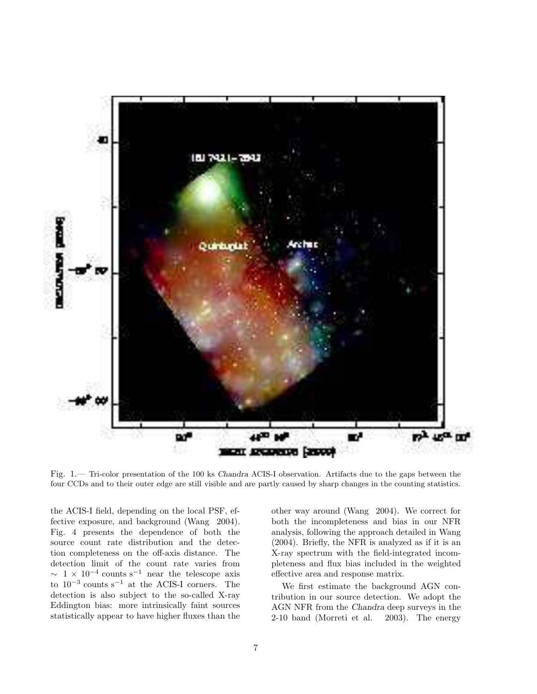

Fig. 1.— Tri-color presentation of the 100 ks Chandra ACIS-I observation. Artifacts due to the gaps between the four CCDs and to their outer edge are still visible and are partly caused by sharp changes in the counting statistics.

the ACIS-I field, depending on the local PSF, effective exposure, and background (Wang 2004). Fig. 4 presents the dependence of both the source count rate distribution and the detection completeness on the off-axis distance. The detection limit of the count rate varies from  $\sim 1 \times 10^{-4}$  counts s<sup>-1</sup> near the telescope axis to  $10^{-3}$  counts s<sup>-1</sup> at the ACIS-I corners. The detection is also subject to the so-called X-ray Eddington bias: more intrinsically faint sources statistically appear to have higher fluxes than the

other way around (Wang 2004). We correct for both the incompleteness and bias in our NFR analysis, following the approach detailed in Wang (2004). Briefly, the NFR is analyzed as if it is an X-ray spectrum with the field-integrated incompleteness and flux bias included in the weighted effective area and response matrix.

We first estimate the background AGN contribution in our source detection. We adopt the AGN NFR from the Chandra deep surveys in the 2-10 band (Morreti et al. 2003). The energy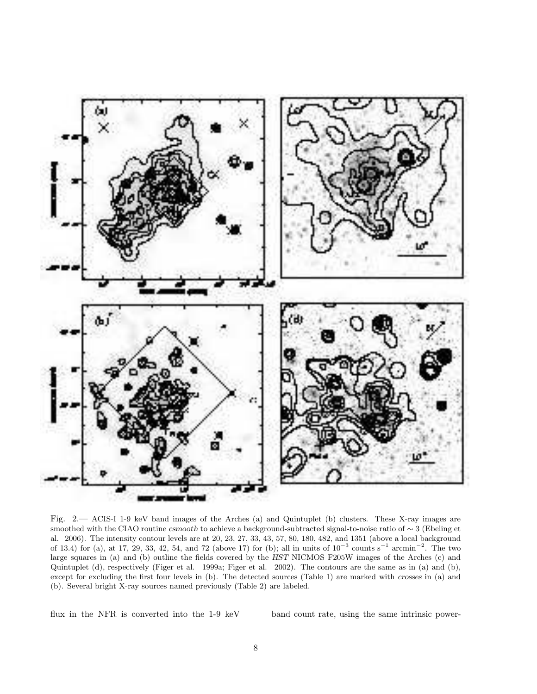

Fig. 2.— ACIS-I 1-9 keV band images of the Arches (a) and Quintuplet (b) clusters. These X-ray images are smoothed with the CIAO routine csmooth to achieve a background-subtracted signal-to-noise ratio of ∼ 3 (Ebeling et al. 2006). The intensity contour levels are at 20, 23, 27, 33, 43, 57, 80, 180, 482, and 1351 (above a local background of 13.4) for (a), at 17, 29, 33, 42, 54, and 72 (above 17) for (b); all in units of  $10^{-3}$  counts s<sup>-1</sup> arcmin<sup>-2</sup>. The two large squares in (a) and (b) outline the fields covered by the HST NICMOS F205W images of the Arches (c) and Quintuplet (d), respectively (Figer et al. 1999a; Figer et al. 2002). The contours are the same as in (a) and (b), except for excluding the first four levels in (b). The detected sources (Table 1) are marked with crosses in (a) and (b). Several bright X-ray sources named previously (Table 2) are labeled.

flux in the NFR is converted into the 1-9 keV band count rate, using the same intrinsic power-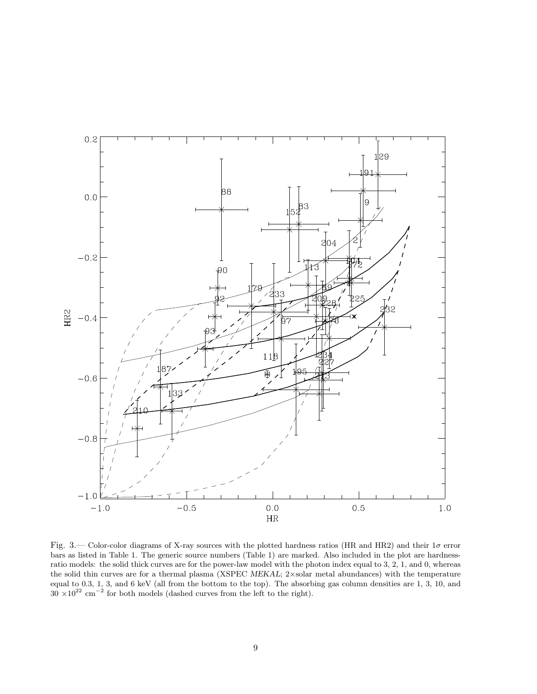

Fig. 3.— Color-color diagrams of X-ray sources with the plotted hardness ratios (HR and HR2) and their  $1\sigma$  error bars as listed in Table 1. The generic source numbers (Table 1) are marked. Also included in the plot are hardnessratio models: the solid thick curves are for the power-law model with the photon index equal to 3, 2, 1, and 0, whereas the solid thin curves are for a thermal plasma (XSPEC MEKAL; 2×solar metal abundances) with the temperature equal to 0.3, 1, 3, and 6 keV (all from the bottom to the top). The absorbing gas column densities are 1, 3, 10, and  $30 \times 10^{22}$  cm<sup>-2</sup> for both models (dashed curves from the left to the right).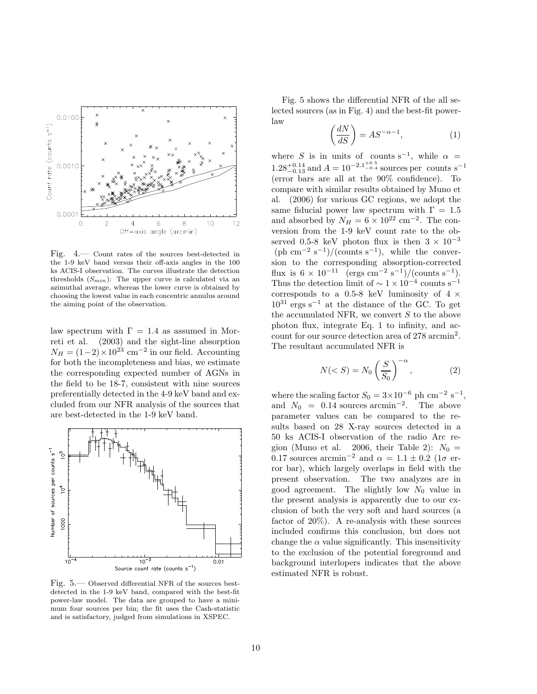

Fig. 4.— Count rates of the sources best-detected in the 1-9 keV band versus their off-axis angles in the 100 ks ACIS-I observation. The curves illustrate the detection thresholds  $(S_{min})$ : The upper curve is calculated via an azimuthal average, whereas the lower curve is obtained by choosing the lowest value in each concentric annulus around the aiming point of the observation.

law spectrum with  $\Gamma = 1.4$  as assumed in Morreti et al. (2003) and the sight-line absorption  $N_H = (1-2) \times 10^{23}$  cm<sup>-2</sup> in our field. Accounting for both the incompleteness and bias, we estimate the corresponding expected number of AGNs in the field to be 18-7, consistent with nine sources preferentially detected in the 4-9 keV band and excluded from our NFR analysis of the sources that are best-detected in the 1-9 keV band.



Fig. 5.— Observed differential NFR of the sources bestdetected in the 1-9 keV band, compared with the best-fit power-law model. The data are grouped to have a minimum four sources per bin; the fit uses the Cash-statistic and is satisfactory, judged from simulations in XSPEC.

Fig. 5 shows the differential NFR of the all selected sources (as in Fig. 4) and the best-fit powerlaw

$$
\left(\frac{dN}{dS}\right) = AS^{-\alpha - 1},\tag{1}
$$

where S is in units of counts s<sup>-1</sup>, while  $\alpha =$  $1.28^{+0.14}_{-0.13}$  and  $A = 10^{-2.1^{+0.5}_{-0.4}}$  sources per counts s<sup>-1</sup> (error bars are all at the 90% confidence). To compare with similar results obtained by Muno et al. (2006) for various GC regions, we adopt the same fiducial power law spectrum with  $\Gamma = 1.5$ and absorbed by  $N_H = 6 \times 10^{22}$  cm<sup>-2</sup>. The conversion from the 1-9 keV count rate to the observed 0.5-8 keV photon flux is then  $3 \times 10^{-3}$  $(\text{ph cm}^{-2} \text{ s}^{-1})/(\text{counts s}^{-1}), \text{ while the conver-}$ sion to the corresponding absorption-corrected flux is  $6 \times 10^{-11}$  (ergs cm<sup>-2</sup> s<sup>-1</sup>)/(counts s<sup>-1</sup>). Thus the detection limit of  $\sim 1 \times 10^{-4}$  counts s<sup>-1</sup> corresponds to a 0.5-8 keV luminosity of  $4 \times$  $10^{31}$  ergs  $\rm s^{-1}$  at the distance of the GC. To get the accumulated NFR, we convert  $S$  to the above photon flux, integrate Eq. 1 to infinity, and account for our source detection area of 278 arcmin<sup>2</sup> . The resultant accumulated NFR is

$$
N(
$$

where the scaling factor  $S_0 = 3 \times 10^{-6}$  ph cm<sup>-2</sup> s<sup>-1</sup>, and  $N_0 = 0.14$  sources arcmin<sup>-2</sup>. The above parameter values can be compared to the results based on 28 X-ray sources detected in a 50 ks ACIS-I observation of the radio Arc region (Muno et al. 2006, their Table 2):  $N_0 =$ 0.17 sources arcmin<sup>-2</sup> and  $\alpha = 1.1 \pm 0.2$  (1 $\sigma$  error bar), which largely overlaps in field with the present observation. The two analyzes are in good agreement. The slightly low  $N_0$  value in the present analysis is apparently due to our exclusion of both the very soft and hard sources (a factor of 20%). A re-analysis with these sources included confirms this conclusion, but does not change the  $\alpha$  value significantly. This insensitivity to the exclusion of the potential foreground and background interlopers indicates that the above estimated NFR is robust.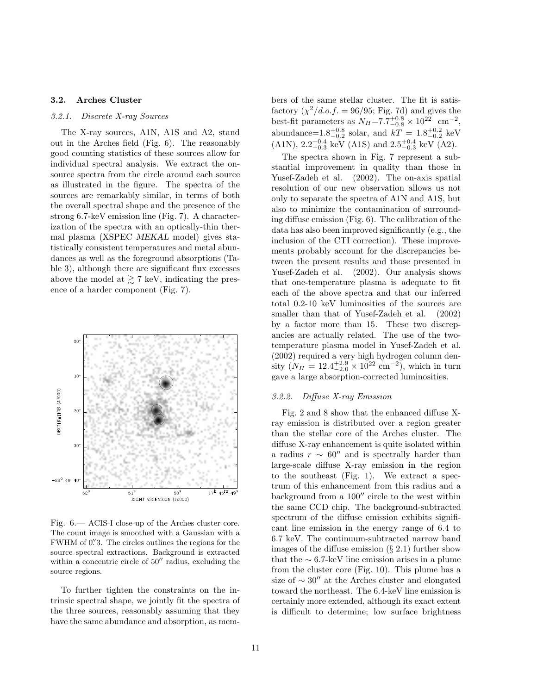## 3.2. Arches Cluster

## 3.2.1. Discrete X-ray Sources

The X-ray sources, A1N, A1S and A2, stand out in the Arches field (Fig. 6). The reasonably good counting statistics of these sources allow for individual spectral analysis. We extract the onsource spectra from the circle around each source as illustrated in the figure. The spectra of the sources are remarkably similar, in terms of both the overall spectral shape and the presence of the strong 6.7-keV emission line (Fig. 7). A characterization of the spectra with an optically-thin thermal plasma (XSPEC MEKAL model) gives statistically consistent temperatures and metal abundances as well as the foreground absorptions (Table 3), although there are significant flux excesses above the model at  $\gtrsim$  7 keV, indicating the presence of a harder component (Fig. 7).



Fig. 6.— ACIS-I close-up of the Arches cluster core. The count image is smoothed with a Gaussian with a FWHM of 0.'3. The circles outlines the regions for the source spectral extractions. Background is extracted within a concentric circle of 50<sup>"</sup> radius, excluding the source regions.

To further tighten the constraints on the intrinsic spectral shape, we jointly fit the spectra of the three sources, reasonably assuming that they have the same abundance and absorption, as members of the same stellar cluster. The fit is satisfactory  $(\chi^2/d.o.f. = 96/95; Fig. 7d)$  and gives the best-fit parameters as  $N_H = 7.7^{+0.8}_{-0.8} \times 10^{22}$  cm<sup>-2</sup>, abundance= $1.8^{+0.8}_{-0.2}$  solar, and  $kT = 1.8^{+0.2}_{-0.2}$  keV  $(A1N), 2.2_{-0.3}^{+0.4}$  keV  $(A1S)$  and  $2.5_{-0.3}^{+0.4}$  keV  $(A2)$ .

The spectra shown in Fig. 7 represent a substantial improvement in quality than those in Yusef-Zadeh et al. (2002). The on-axis spatial resolution of our new observation allows us not only to separate the spectra of A1N and A1S, but also to minimize the contamination of surrounding diffuse emission (Fig. 6). The calibration of the data has also been improved significantly (e.g., the inclusion of the CTI correction). These improvements probably account for the discrepancies between the present results and those presented in Yusef-Zadeh et al. (2002). Our analysis shows that one-temperature plasma is adequate to fit each of the above spectra and that our inferred total 0.2-10 keV luminosities of the sources are smaller than that of Yusef-Zadeh et al. (2002) by a factor more than 15. These two discrepancies are actually related. The use of the twotemperature plasma model in Yusef-Zadeh et al. (2002) required a very high hydrogen column density  $(N_H = 12.4^{+2.9}_{-2.0} \times 10^{22} \text{ cm}^{-2})$ , which in turn gave a large absorption-corrected luminosities.

#### 3.2.2. Diffuse X-ray Emission

Fig. 2 and 8 show that the enhanced diffuse Xray emission is distributed over a region greater than the stellar core of the Arches cluster. The diffuse X-ray enhancement is quite isolated within a radius  $r \sim 60''$  and is spectrally harder than large-scale diffuse X-ray emission in the region to the southeast (Fig. 1). We extract a spectrum of this enhancement from this radius and a background from a 100′′ circle to the west within the same CCD chip. The background-subtracted spectrum of the diffuse emission exhibits significant line emission in the energy range of 6.4 to 6.7 keV. The continuum-subtracted narrow band images of the diffuse emission  $(\S 2.1)$  further show that the  $\sim 6.7$ -keV line emission arises in a plume from the cluster core (Fig. 10). This plume has a size of ∼ 30′′ at the Arches cluster and elongated toward the northeast. The 6.4-keV line emission is certainly more extended, although its exact extent is difficult to determine; low surface brightness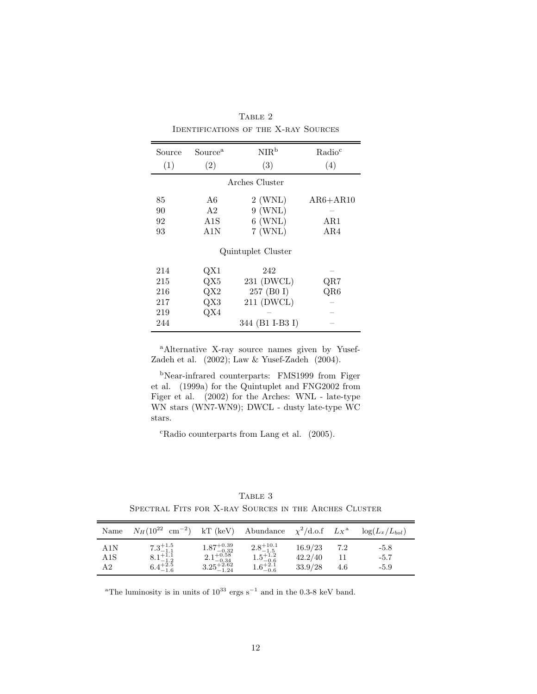| Source             | Source <sup>a</sup> | NIR <sup>b</sup> | Radio <sup>c</sup> |  |  |  |  |  |
|--------------------|---------------------|------------------|--------------------|--|--|--|--|--|
| (1)                | (2)                 | (3)              | (4)                |  |  |  |  |  |
| Arches Cluster     |                     |                  |                    |  |  |  |  |  |
| 85                 | A6                  | $2$ (WNL)        | $AR6 + AR10$       |  |  |  |  |  |
| 90                 | A <sub>2</sub>      | $9$ (WNL)        |                    |  |  |  |  |  |
| 92                 | A1S                 | $6$ (WNL)        | AR1                |  |  |  |  |  |
| 93                 | A1N                 | $7$ (WNL)        | AR4                |  |  |  |  |  |
| Quintuplet Cluster |                     |                  |                    |  |  |  |  |  |
| 214                | QX1                 | 242              |                    |  |  |  |  |  |
| 215                | $\mathrm{QX}5$      | 231 (DWCL)       | QR7                |  |  |  |  |  |
| 216                | $\mathrm{QX}2$      | 257 (B0 I)       | $_{\rm QR6}$       |  |  |  |  |  |
| 217                | $\rm QX3$           | 211 (DWCL)       |                    |  |  |  |  |  |
| 219                | QX4                 |                  |                    |  |  |  |  |  |
| 244                |                     | 344 (B1 I-B3 I)  |                    |  |  |  |  |  |

TABLE 2 Identifications of the X-ray Sources

<sup>a</sup>Alternative X-ray source names given by Yusef-Zadeh et al. (2002); Law & Yusef-Zadeh (2004).

<sup>b</sup>Near-infrared counterparts: FMS1999 from Figer et al. (1999a) for the Quintuplet and FNG2002 from Figer et al. (2002) for the Arches: WNL - late-type WN stars (WN7-WN9); DWCL - dusty late-type WC stars.

 $c$ Radio counterparts from Lang et al.  $(2005)$ .

TABLE  $3$ Spectral Fits for X-ray Sources in the Arches Cluster

| Name             | $N_H(10^{22} \text{ cm}^{-2})$                                    | $kT$ (keV)                                                                        | Abundance                                                                 | $\chi^2/\text{d.o.f } L_X^{\text{a}}$ |            | $\log(L_x/L_{bol})$        |
|------------------|-------------------------------------------------------------------|-----------------------------------------------------------------------------------|---------------------------------------------------------------------------|---------------------------------------|------------|----------------------------|
| A1N<br>A1S<br>A2 | $7.3^{+1.5}_{-1.1}$<br>8.1 <sup>+1.1</sup><br>$6.4^{+2.5}_{-1.6}$ | $\substack{1.87_{-0.32}^{+0.39} \\ 2.1_{-0.34}^{+0.58} \\ 3.25_{-1.24}^{+2.62} }$ | $\substack{2.8^{+10.1}_{-1.5} \\ 1.5^{+1.2}_{-0.6} \\ 1.6^{+2.1}_{-0.6}}$ | 16.9/23<br>42.2/40<br>33.9/28         | 7.2<br>4.6 | $-5.8$<br>$-5.7$<br>$-5.9$ |

<sup>a</sup>The luminosity is in units of  $10^{33}$  ergs s<sup>-1</sup> and in the 0.3-8 keV band.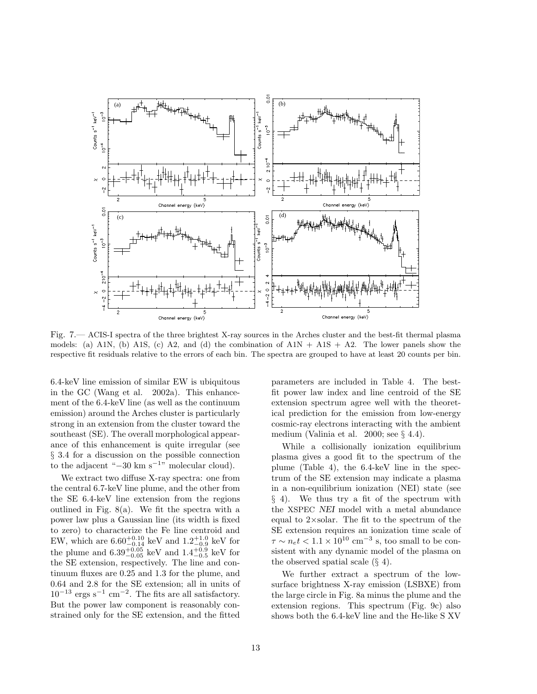

Fig. 7.— ACIS-I spectra of the three brightest X-ray sources in the Arches cluster and the best-fit thermal plasma models: (a) A1N, (b) A1S, (c) A2, and (d) the combination of  $A1N + A1S + A2$ . The lower panels show the respective fit residuals relative to the errors of each bin. The spectra are grouped to have at least 20 counts per bin.

6.4-keV line emission of similar EW is ubiquitous in the GC (Wang et al. 2002a). This enhancement of the 6.4-keV line (as well as the continuum emission) around the Arches cluster is particularly strong in an extension from the cluster toward the southeast (SE). The overall morphological appearance of this enhancement is quite irregular (see § 3.4 for a discussion on the possible connection to the adjacent " $-30 \text{ km s}^{-1}$ " molecular cloud).

We extract two diffuse X-ray spectra: one from the central 6.7-keV line plume, and the other from the SE 6.4-keV line extension from the regions outlined in Fig. 8(a). We fit the spectra with a power law plus a Gaussian line (its width is fixed to zero) to characterize the Fe line centroid and EW, which are  $6.60^{+0.10}_{-0.14}$  keV and  $1.2^{+1.0}_{-0.9}$  keV for the plume and  $6.39_{-0.05}^{+0.05}$  keV and  $1.4_{-0.5}^{+0.9}$  keV for the SE extension, respectively. The line and continuum fluxes are 0.25 and 1.3 for the plume, and 0.64 and 2.8 for the SE extension; all in units of  $10^{-13}$  ergs s<sup>-1</sup> cm<sup>-2</sup>. The fits are all satisfactory. But the power law component is reasonably constrained only for the SE extension, and the fitted parameters are included in Table 4. The bestfit power law index and line centroid of the SE extension spectrum agree well with the theoretical prediction for the emission from low-energy cosmic-ray electrons interacting with the ambient medium (Valinia et al. 2000; see  $\S 4.4$ ).

While a collisionally ionization equilibrium plasma gives a good fit to the spectrum of the plume (Table 4), the 6.4-keV line in the spectrum of the SE extension may indicate a plasma in a non-equilibrium ionization (NEI) state (see § 4). We thus try a fit of the spectrum with the XSPEC NEI model with a metal abundance equal to 2×solar. The fit to the spectrum of the SE extension requires an ionization time scale of  $\tau \sim n_e t < 1.1 \times 10^{10}$  cm<sup>-3</sup> s, too small to be consistent with any dynamic model of the plasma on the observed spatial scale  $(\S 4)$ .

We further extract a spectrum of the lowsurface brightness X-ray emission (LSBXE) from the large circle in Fig. 8a minus the plume and the extension regions. This spectrum (Fig. 9c) also shows both the 6.4-keV line and the He-like S XV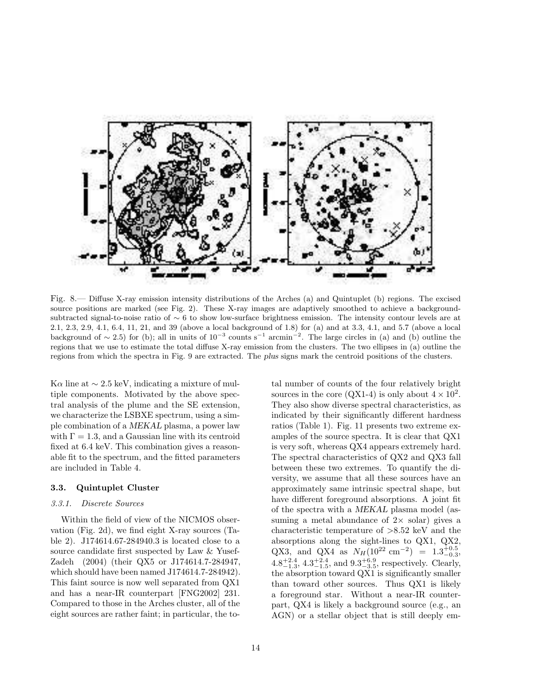

Fig. 8.— Diffuse X-ray emission intensity distributions of the Arches (a) and Quintuplet (b) regions. The excised source positions are marked (see Fig. 2). These X-ray images are adaptively smoothed to achieve a backgroundsubtracted signal-to-noise ratio of ∼ 6 to show low-surface brightness emission. The intensity contour levels are at 2.1, 2.3, 2.9, 4.1, 6.4, 11, 21, and 39 (above a local background of 1.8) for (a) and at 3.3, 4.1, and 5.7 (above a local background of  $\sim$  2.5) for (b); all in units of 10<sup>-3</sup> counts s<sup>-1</sup> arcmin<sup>-2</sup>. The large circles in (a) and (b) outline the regions that we use to estimate the total diffuse X-ray emission from the clusters. The two ellipses in (a) outline the regions from which the spectra in Fig. 9 are extracted. The plus signs mark the centroid positions of the clusters.

K $\alpha$  line at  $\sim$  2.5 keV, indicating a mixture of multiple components. Motivated by the above spectral analysis of the plume and the SE extension, we characterize the LSBXE spectrum, using a simple combination of a MEKAL plasma, a power law with  $\Gamma = 1.3$ , and a Gaussian line with its centroid fixed at 6.4 keV. This combination gives a reasonable fit to the spectrum, and the fitted parameters are included in Table 4.

# 3.3. Quintuplet Cluster

#### 3.3.1. Discrete Sources

Within the field of view of the NICMOS observation (Fig. 2d), we find eight X-ray sources (Table 2). J174614.67-284940.3 is located close to a source candidate first suspected by Law & Yusef-Zadeh (2004) (their QX5 or J174614.7-284947, which should have been named J174614.7-284942). This faint source is now well separated from QX1 and has a near-IR counterpart [FNG2002] 231. Compared to those in the Arches cluster, all of the eight sources are rather faint; in particular, the total number of counts of the four relatively bright sources in the core (QX1-4) is only about  $4 \times 10^2$ . They also show diverse spectral characteristics, as indicated by their significantly different hardness ratios (Table 1). Fig. 11 presents two extreme examples of the source spectra. It is clear that QX1 is very soft, whereas QX4 appears extremely hard. The spectral characteristics of QX2 and QX3 fall between these two extremes. To quantify the diversity, we assume that all these sources have an approximately same intrinsic spectral shape, but have different foreground absorptions. A joint fit of the spectra with a MEKAL plasma model (assuming a metal abundance of  $2 \times$  solar) gives a characteristic temperature of >8.52 keV and the absorptions along the sight-lines to QX1, QX2, QX3, and QX4 as  $N_H(10^{22} \text{ cm}^{-2}) = 1.3_{-0.3}^{+0.5}$ ,  $4.8^{+2.4}_{-1.3}$ ,  $4.3^{+2.4}_{-1.5}$ , and  $9.3^{+6.9}_{-3.5}$ , respectively. Clearly, the absorption toward QX1 is significantly smaller than toward other sources. Thus QX1 is likely a foreground star. Without a near-IR counterpart, QX4 is likely a background source (e.g., an AGN) or a stellar object that is still deeply em-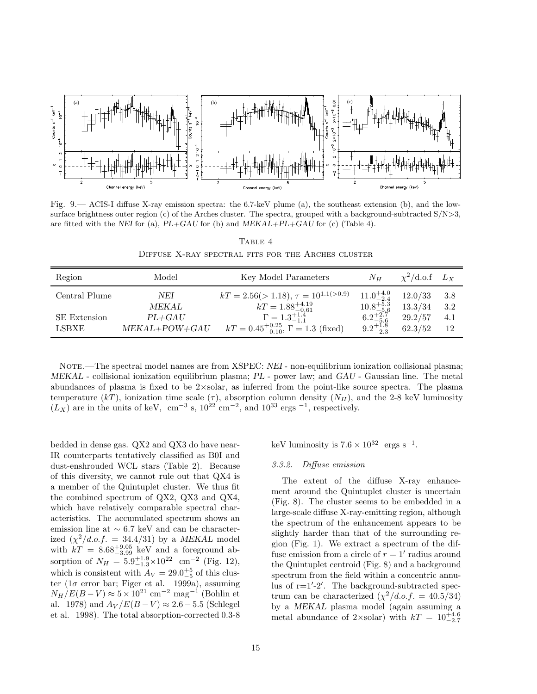

Fig. 9.— ACIS-I diffuse X-ray emission spectra: the 6.7-keV plume (a), the southeast extension (b), and the lowsurface brightness outer region (c) of the Arches cluster. The spectra, grouped with a background-subtracted  $S/N>3$ , are fitted with the NEI for (a),  $PL+GAU$  for (b) and  $MEKAL+PL+GAU$  for (c) (Table 4).

TABLE 4 Diffuse X-ray spectral fits for the Arches cluster

| Region              | Model           | Key Model Parameters                                 | $N_H$                | $\chi^2$ /d.o.f $L_X$ |       |
|---------------------|-----------------|------------------------------------------------------|----------------------|-----------------------|-------|
| Central Plume       | NEI             | $kT = 2.56(>1.18), \tau = 10^{1.1(>0.9)}$            | $11.0^{+4.0}_{-2.4}$ | 12.0/33               | - 3.8 |
|                     | MEKAL           | $kT = 1.88^{+4.19}_{-0.61}$                          | $10.8^{+5.3}_{-5.6}$ | 13.3/34               | -3.2  |
| <b>SE</b> Extension | $PL+GAU$        | $\Gamma = 1.3^{+1.4}_{-1.1}$                         | $6.2^{+2.7}_{-5.6}$  | 29.2/57               | 4.1   |
| LSBXE               | $MEKAL+POW+GAU$ | $kT = 0.45^{+0.25}_{-0.10}$ , $\Gamma = 1.3$ (fixed) | $9.2^{+1.8}_{-2.3}$  | 62.3/52               | -12   |

NOTE.—The spectral model names are from XSPEC: NEI - non-equilibrium ionization collisional plasma; MEKAL - collisional ionization equilibrium plasma; PL - power law; and GAU - Gaussian line. The metal abundances of plasma is fixed to be  $2 \times$ solar, as inferred from the point-like source spectra. The plasma temperature (kT), ionization time scale ( $\tau$ ), absorption column density ( $N_H$ ), and the 2-8 keV luminosity  $(L_X)$  are in the units of keV, cm<sup>-3</sup> s,  $10^{22}$  cm<sup>-2</sup>, and  $10^{33}$  ergs <sup>-1</sup>, respectively.

bedded in dense gas. QX2 and QX3 do have near-IR counterparts tentatively classified as B0I and dust-enshrouded WCL stars (Table 2). Because of this diversity, we cannot rule out that QX4 is a member of the Quintuplet cluster. We thus fit the combined spectrum of QX2, QX3 and QX4, which have relatively comparable spectral characteristics. The accumulated spectrum shows an emission line at ∼ 6.7 keV and can be characterized  $(\chi^2/d.o.f. = 34.4/31)$  by a MEKAL model with  $kT = 8.68^{+9.05}_{-3.99}$  keV and a foreground absorption of  $N_H = 5.9^{+1.9}_{-1.3} \times 10^{22}$  cm<sup>-2</sup> (Fig. 12), which is consistent with  $A_V = 29.0^{+5}_{-5}$  of this cluster (1 $\sigma$  error bar; Figer et al. 1999a), assuming  $N_H/E(B-V) \approx 5 \times 10^{21}$  cm<sup>-2</sup> mag<sup>-1</sup> (Bohlin et al. 1978) and  $A_V/E(B-V) \approx 2.6-5.5$  (Schlegel et al. 1998). The total absorption-corrected 0.3-8 keV luminosity is  $7.6 \times 10^{32}$  ergs s<sup>-1</sup>.

#### 3.3.2. Diffuse emission

The extent of the diffuse X-ray enhancement around the Quintuplet cluster is uncertain (Fig. 8). The cluster seems to be embedded in a large-scale diffuse X-ray-emitting region, although the spectrum of the enhancement appears to be slightly harder than that of the surrounding region (Fig. 1). We extract a spectrum of the diffuse emission from a circle of  $r = 1'$  radius around the Quintuplet centroid (Fig. 8) and a background spectrum from the field within a concentric annulus of r=1′ -2′ . The background-subtracted spectrum can be characterized  $(\chi^2/d.o.f. = 40.5/34)$ by a MEKAL plasma model (again assuming a metal abundance of 2×solar) with  $kT = 10^{+4.6}_{-2.7}$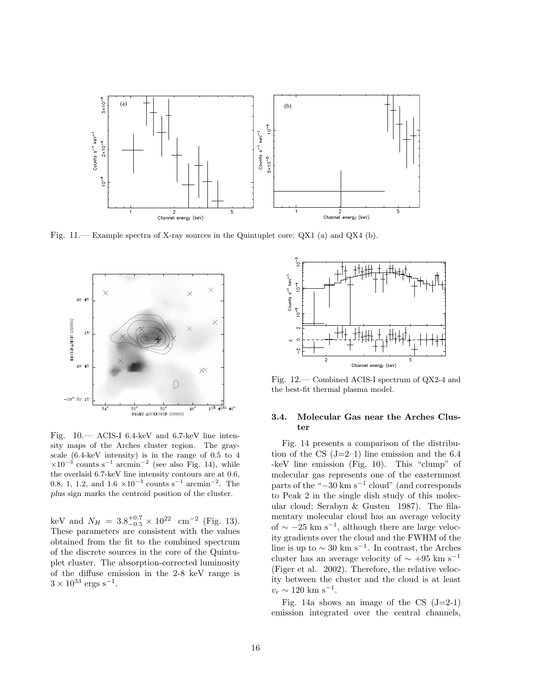

Fig. 11.— Example spectra of X-ray sources in the Quintuplet core: QX1 (a) and QX4 (b).



Fig. 10.— ACIS-I 6.4-keV and 6.7-keV line intensity maps of the Arches cluster region. The grayscale (6.4-keV intensity) is in the range of 0.5 to 4  $\times 10^{-3}$  counts s<sup>-1</sup> arcmin<sup>-2</sup> (see also Fig. 14), while the overlaid 6.7-keV line intensity contours are at 0.6, 0.8, 1, 1.2, and  $1.6 \times 10^{-3}$  counts s<sup>-1</sup> arcmin<sup>-2</sup>. The plus sign marks the centroid position of the cluster.

keV and  $N_H = 3.8^{+0.7}_{-0.5} \times 10^{22}$  cm<sup>-2</sup> (Fig. 13). These parameters are consistent with the values obtained from the fit to the combined spectrum of the discrete sources in the core of the Quintuplet cluster. The absorption-corrected luminosity of the diffuse emission in the 2-8 keV range is  $3 \times 10^{33} \text{ ergs s}^{-1}$ .



Fig. 12.— Combined ACIS-I spectrum of QX2-4 and the best-fit thermal plasma model.

# 3.4. Molecular Gas near the Arches Cluster

Fig. 14 presents a comparison of the distribution of the CS  $(J=2-1)$  line emission and the 6.4 -keV line emission (Fig. 10). This "clump" of molecular gas represents one of the easternmost parts of the "−30 km s<sup>−</sup><sup>1</sup> cloud" (and corresponds to Peak 2 in the single dish study of this molecular cloud; Serabyn & Gusten 1987). The filamentary molecular cloud has an average velocity of  $\sim -25$  km s<sup>-1</sup>, although there are large velocity gradients over the cloud and the FWHM of the line is up to  $\sim 30 \text{ km s}^{-1}$ . In contrast, the Arches cluster has an average velocity of  $\sim +95$  km s<sup>-1</sup> (Figer et al. 2002). Therefore, the relative velocity between the cluster and the cloud is at least  $v_r \sim 120 \text{ km s}^{-1}.$ 

Fig. 14a shows an image of the CS  $(J=2-1)$ emission integrated over the central channels,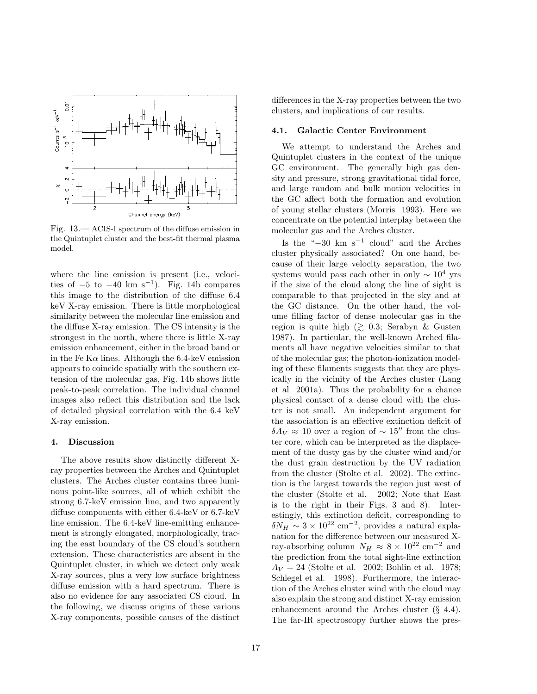

Fig. 13.— ACIS-I spectrum of the diffuse emission in the Quintuplet cluster and the best-fit thermal plasma model.

where the line emission is present (i.e., velocities of  $-5$  to  $-40 \text{ km s}^{-1}$ ). Fig. 14b compares this image to the distribution of the diffuse 6.4 keV X-ray emission. There is little morphological similarity between the molecular line emission and the diffuse X-ray emission. The CS intensity is the strongest in the north, where there is little X-ray emission enhancement, either in the broad band or in the Fe K $\alpha$  lines. Although the 6.4-keV emission appears to coincide spatially with the southern extension of the molecular gas, Fig. 14b shows little peak-to-peak correlation. The individual channel images also reflect this distribution and the lack of detailed physical correlation with the 6.4 keV X-ray emission.

# 4. Discussion

The above results show distinctly different Xray properties between the Arches and Quintuplet clusters. The Arches cluster contains three luminous point-like sources, all of which exhibit the strong 6.7-keV emission line, and two apparently diffuse components with either 6.4-keV or 6.7-keV line emission. The 6.4-keV line-emitting enhancement is strongly elongated, morphologically, tracing the east boundary of the CS cloud's southern extension. These characteristics are absent in the Quintuplet cluster, in which we detect only weak X-ray sources, plus a very low surface brightness diffuse emission with a hard spectrum. There is also no evidence for any associated CS cloud. In the following, we discuss origins of these various X-ray components, possible causes of the distinct

differences in the X-ray properties between the two clusters, and implications of our results.

#### 4.1. Galactic Center Environment

We attempt to understand the Arches and Quintuplet clusters in the context of the unique GC environment. The generally high gas density and pressure, strong gravitational tidal force, and large random and bulk motion velocities in the GC affect both the formation and evolution of young stellar clusters (Morris 1993). Here we concentrate on the potential interplay between the molecular gas and the Arches cluster.

Is the " $-30 \text{ km s}^{-1}$  cloud" and the Arches cluster physically associated? On one hand, because of their large velocity separation, the two systems would pass each other in only  $\sim 10^4$  yrs if the size of the cloud along the line of sight is comparable to that projected in the sky and at the GC distance. On the other hand, the volume filling factor of dense molecular gas in the region is quite high  $(\gtrsim 0.3;$  Serabyn & Gusten 1987). In particular, the well-known Arched filaments all have negative velocities similar to that of the molecular gas; the photon-ionization modeling of these filaments suggests that they are physically in the vicinity of the Arches cluster (Lang et al 2001a). Thus the probability for a chance physical contact of a dense cloud with the cluster is not small. An independent argument for the association is an effective extinction deficit of  $\delta A_V \approx 10$  over a region of ~ 15″ from the cluster core, which can be interpreted as the displacement of the dusty gas by the cluster wind and/or the dust grain destruction by the UV radiation from the cluster (Stolte et al. 2002). The extinction is the largest towards the region just west of the cluster (Stolte et al. 2002; Note that East is to the right in their Figs. 3 and 8). Interestingly, this extinction deficit, corresponding to  $\delta N_H \sim 3 \times 10^{22}$  cm<sup>-2</sup>, provides a natural explanation for the difference between our measured Xray-absorbing column  $N_H \approx 8 \times 10^{22}$  cm<sup>-2</sup> and the prediction from the total sight-line extinction  $A_V = 24$  (Stolte et al. 2002; Bohlin et al. 1978; Schlegel et al. 1998). Furthermore, the interaction of the Arches cluster wind with the cloud may also explain the strong and distinct X-ray emission enhancement around the Arches cluster (§ 4.4). The far-IR spectroscopy further shows the pres-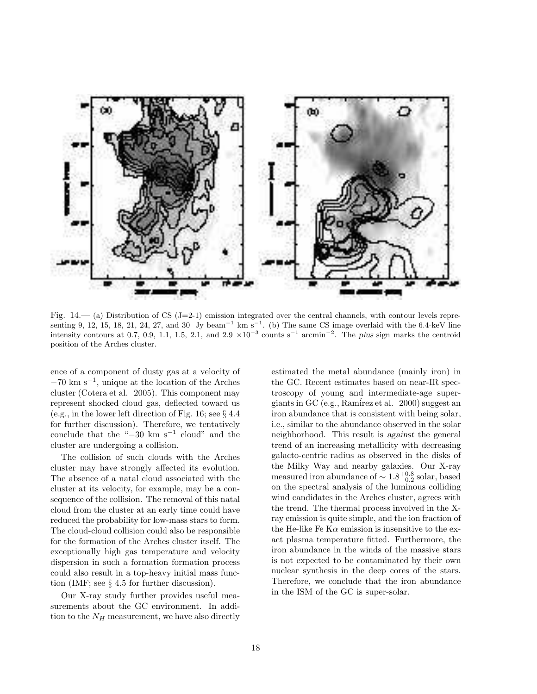

Fig.  $14.$  (a) Distribution of CS (J=2-1) emission integrated over the central channels, with contour levels representing 9, 12, 15, 18, 21, 24, 27, and 30 Jy beam<sup>-1</sup> km s<sup>-1</sup>. (b) The same CS image overlaid with the 6.4-keV line intensity contours at 0.7, 0.9, 1.1, 1.5, 2.1, and 2.9  $\times 10^{-3}$  counts s<sup>-1</sup> arcmin<sup>-2</sup>. The plus sign marks the centroid position of the Arches cluster.

ence of a component of dusty gas at a velocity of −70 km s<sup>−</sup><sup>1</sup> , unique at the location of the Arches cluster (Cotera et al. 2005). This component may represent shocked cloud gas, deflected toward us (e.g., in the lower left direction of Fig. 16; see § 4.4 for further discussion). Therefore, we tentatively conclude that the " $-30 \text{ km s}^{-1}$  cloud" and the cluster are undergoing a collision.

The collision of such clouds with the Arches cluster may have strongly affected its evolution. The absence of a natal cloud associated with the cluster at its velocity, for example, may be a consequence of the collision. The removal of this natal cloud from the cluster at an early time could have reduced the probability for low-mass stars to form. The cloud-cloud collision could also be responsible for the formation of the Arches cluster itself. The exceptionally high gas temperature and velocity dispersion in such a formation formation process could also result in a top-heavy initial mass function (IMF; see § 4.5 for further discussion).

Our X-ray study further provides useful measurements about the GC environment. In addition to the  $N_H$  measurement, we have also directly estimated the metal abundance (mainly iron) in the GC. Recent estimates based on near-IR spectroscopy of young and intermediate-age supergiants in GC (e.g., Ram´irez et al. 2000) suggest an iron abundance that is consistent with being solar, i.e., similar to the abundance observed in the solar neighborhood. This result is against the general trend of an increasing metallicity with decreasing galacto-centric radius as observed in the disks of the Milky Way and nearby galaxies. Our X-ray measured iron abundance of  $\sim 1.8_{-0.2}^{+0.8}$  solar, based on the spectral analysis of the luminous colliding wind candidates in the Arches cluster, agrees with the trend. The thermal process involved in the Xray emission is quite simple, and the ion fraction of the He-like Fe K $\alpha$  emission is insensitive to the exact plasma temperature fitted. Furthermore, the iron abundance in the winds of the massive stars is not expected to be contaminated by their own nuclear synthesis in the deep cores of the stars. Therefore, we conclude that the iron abundance in the ISM of the GC is super-solar.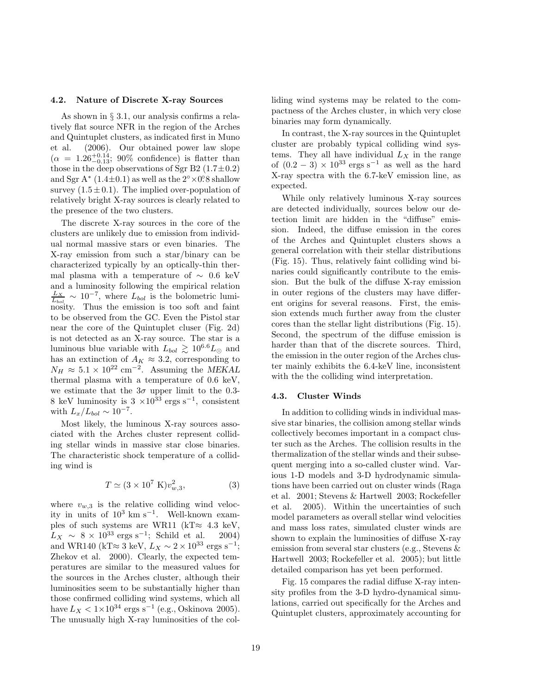#### 4.2. Nature of Discrete X-ray Sources

As shown in § 3.1, our analysis confirms a relatively flat source NFR in the region of the Arches and Quintuplet clusters, as indicated first in Muno et al. (2006). Our obtained power law slope  $(\alpha = 1.26^{+0.14}_{-0.13}; 90\%$  confidence) is flatter than those in the deep observations of Sgr B2  $(1.7\pm0.2)$ and Sgr A<sup>\*</sup>  $(1.4\pm0.1)$  as well as the  $2^{\circ} \times 0.8$  shallow survey  $(1.5 \pm 0.1)$ . The implied over-population of relatively bright X-ray sources is clearly related to the presence of the two clusters.

The discrete X-ray sources in the core of the clusters are unlikely due to emission from individual normal massive stars or even binaries. The X-ray emission from such a star/binary can be characterized typically by an optically-thin thermal plasma with a temperature of  $\sim 0.6$  keV and a luminosity following the empirical relation  $\frac{L_X}{L_{bol}} \sim 10^{-7}$ , where  $L_{bol}$  is the bolometric luminosity. Thus the emission is too soft and faint to be observed from the GC. Even the Pistol star near the core of the Quintuplet cluser (Fig. 2d) is not detected as an X-ray source. The star is a luminous blue variable with  $L_{bol} \gtrsim 10^{6.6} L_{\odot}$  and has an extinction of  $A_K \approx 3.2$ , corresponding to  $N_H \approx 5.1 \times 10^{22}$  cm<sup>-2</sup>. Assuming the MEKAL thermal plasma with a temperature of 0.6 keV, we estimate that the  $3\sigma$  upper limit to the 0.3-8 keV luminosity is  $3 \times 10^{33}$  ergs s<sup>-1</sup>, consistent with  $L_x/L_{bol} \sim 10^{-7}$ .

Most likely, the luminous X-ray sources associated with the Arches cluster represent colliding stellar winds in massive star close binaries. The characteristic shock temperature of a colliding wind is

$$
T \simeq (3 \times 10^7 \text{ K}) v_{w,3}^2,\tag{3}
$$

where  $v_{w,3}$  is the relative colliding wind velocity in units of  $10^3$  km s<sup>-1</sup>. Well-known examples of such systems are WR11 (kT $\approx 4.3$  keV,  $L_X \sim 8 \times 10^{33} \text{ ergs s}^{-1}$ ; Schild et al. 2004) and WR140 (kT≈ 3 keV,  $L_X \sim 2 \times 10^{33}$  ergs s<sup>-1</sup>; Zhekov et al. 2000). Clearly, the expected temperatures are similar to the measured values for the sources in the Arches cluster, although their luminosities seem to be substantially higher than those confirmed colliding wind systems, which all have  $L_X < 1 \times 10^{34}$  ergs s<sup>-1</sup> (e.g., Oskinova 2005). The unusually high X-ray luminosities of the colliding wind systems may be related to the compactness of the Arches cluster, in which very close binaries may form dynamically.

In contrast, the X-ray sources in the Quintuplet cluster are probably typical colliding wind systems. They all have individual  $L_X$  in the range of  $(0.2 - 3) \times 10^{33}$  ergs s<sup>-1</sup> as well as the hard X-ray spectra with the 6.7-keV emission line, as expected.

While only relatively luminous X-ray sources are detected individually, sources below our detection limit are hidden in the "diffuse" emission. Indeed, the diffuse emission in the cores of the Arches and Quintuplet clusters shows a general correlation with their stellar distributions (Fig. 15). Thus, relatively faint colliding wind binaries could significantly contribute to the emission. But the bulk of the diffuse X-ray emission in outer regions of the clusters may have different origins for several reasons. First, the emission extends much further away from the cluster cores than the stellar light distributions (Fig. 15). Second, the spectrum of the diffuse emission is harder than that of the discrete sources. Third, the emission in the outer region of the Arches cluster mainly exhibits the 6.4-keV line, inconsistent with the the colliding wind interpretation.

# 4.3. Cluster Winds

In addition to colliding winds in individual massive star binaries, the collision among stellar winds collectively becomes important in a compact cluster such as the Arches. The collision results in the thermalization of the stellar winds and their subsequent merging into a so-called cluster wind. Various 1-D models and 3-D hydrodynamic simulations have been carried out on cluster winds (Raga et al. 2001; Stevens & Hartwell 2003; Rockefeller et al. 2005). Within the uncertainties of such model parameters as overall stellar wind velocities and mass loss rates, simulated cluster winds are shown to explain the luminosities of diffuse X-ray emission from several star clusters (e.g., Stevens & Hartwell 2003; Rockefeller et al. 2005); but little detailed comparison has yet been performed.

Fig. 15 compares the radial diffuse X-ray intensity profiles from the 3-D hydro-dynamical simulations, carried out specifically for the Arches and Quintuplet clusters, approximately accounting for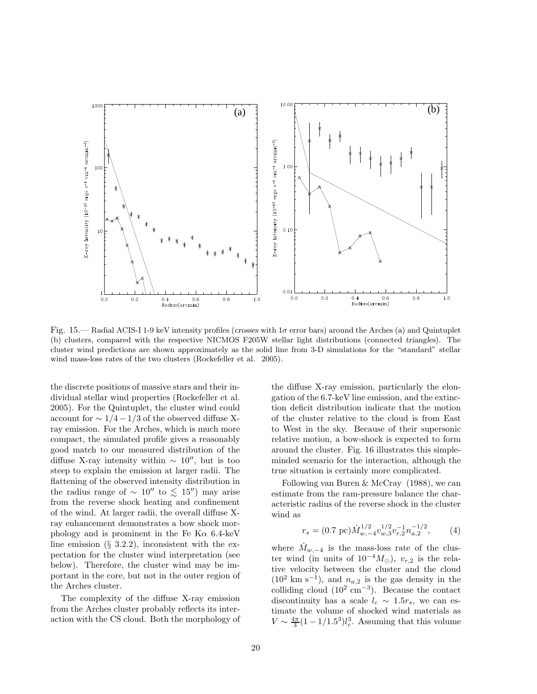

Fig. 15.— Radial ACIS-I 1-9 keV intensity profiles (crosses with  $1\sigma$  error bars) around the Arches (a) and Quintuplet (b) clusters, compared with the respective NICMOS F205W stellar light distributions (connected triangles). The cluster wind predictions are shown approximately as the solid line from 3-D simulations for the "standard" stellar wind mass-loss rates of the two clusters (Rockefeller et al. 2005).

the discrete positions of massive stars and their individual stellar wind properties (Rockefeller et al. 2005). For the Quintuplet, the cluster wind could account for  $\sim 1/4 - 1/3$  of the observed diffuse Xray emission. For the Arches, which is much more compact, the simulated profile gives a reasonably good match to our measured distribution of the diffuse X-ray intensity within  $\sim 10''$ , but is too steep to explain the emission at larger radii. The flattening of the observed intensity distribution in the radius range of  $\sim 10''$  to  $\lesssim 15''$ ) may arise from the reverse shock heating and confinement of the wind. At larger radii, the overall diffuse Xray enhancement demonstrates a bow shock morphology and is prominent in the Fe K $\alpha$  6.4-keV line emission  $(\S$  3.2.2), inconsistent with the expectation for the cluster wind interpretation (see below). Therefore, the cluster wind may be important in the core, but not in the outer region of the Arches cluster.

The complexity of the diffuse X-ray emission from the Arches cluster probably reflects its interaction with the CS cloud. Both the morphology of the diffuse X-ray emission, particularly the elongation of the 6.7-keV line emission, and the extinction deficit distribution indicate that the motion of the cluster relative to the cloud is from East to West in the sky. Because of their supersonic relative motion, a bow-shock is expected to form around the cluster. Fig. 16 illustrates this simpleminded scenario for the interaction, although the true situation is certainly more complicated.

Following van Buren & McCray (1988), we can estimate from the ram-pressure balance the characteristic radius of the reverse shock in the cluster wind as

$$
r_s = (0.7 \text{ pc}) \dot{M}_{w,-4}^{1/2} v_{w,3}^{1/2} v_{r,2}^{-1} n_{a,2}^{-1/2}, \qquad (4)
$$

where  $\dot{M}_{w,-4}$  is the mass-loss rate of the cluster wind (in units of  $10^{-4}M_{\odot}$ ),  $v_{r,2}$  is the relative velocity between the cluster and the cloud  $(10^2 \text{ km s}^{-1})$ , and  $n_{a,2}$  is the gas density in the colliding cloud  $(10^2 \text{ cm}^{-3})$ . Because the contact discontinuity has a scale  $l_c \sim 1.5r_s$ , we can estimate the volume of shocked wind materials as  $V \sim \frac{4\pi}{3}(1 - 1/1.5^3)l_c^3$ . Assuming that this volume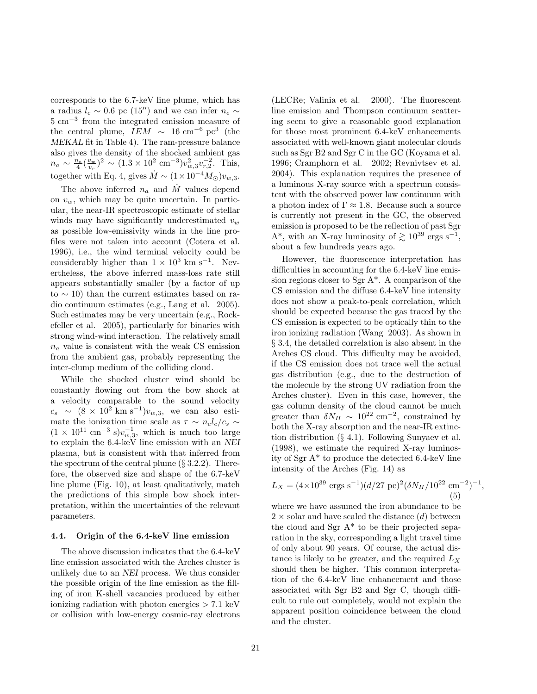corresponds to the 6.7-keV line plume, which has a radius  $l_c \sim 0.6$  pc (15″) and we can infer  $n_e \sim$ 5 cm−<sup>3</sup> from the integrated emission measure of the central plume,  $IEM \sim 16 \text{ cm}^{-6} \text{ pc}^3$  (the MEKAL fit in Table 4). The ram-pressure balance also gives the density of the shocked ambient gas  $n_a \sim \frac{n_e}{4} (\frac{v_w}{v_r})^2 \sim (1.3 \times 10^2 \text{ cm}^{-3}) v_{w,3}^2 v_{r,2}^{-2}$ . This, together with Eq. 4, gives  $\dot{M} \sim (1 \times 10^{-4} M_{\odot}) v_{w.3}$ .

The above inferred  $n_a$  and  $\dot{M}$  values depend on  $v_w$ , which may be quite uncertain. In particular, the near-IR spectroscopic estimate of stellar winds may have significantly underestimated  $v_w$ as possible low-emissivity winds in the line profiles were not taken into account (Cotera et al. 1996), i.e., the wind terminal velocity could be considerably higher than  $1 \times 10^3$  km s<sup>-1</sup>. Nevertheless, the above inferred mass-loss rate still appears substantially smaller (by a factor of up to ∼ 10) than the current estimates based on radio continuum estimates (e.g., Lang et al. 2005). Such estimates may be very uncertain (e.g., Rockefeller et al. 2005), particularly for binaries with strong wind-wind interaction. The relatively small  $n_a$  value is consistent with the weak CS emission from the ambient gas, probably representing the inter-clump medium of the colliding cloud.

While the shocked cluster wind should be constantly flowing out from the bow shock at a velocity comparable to the sound velocity  $c_s \sim (8 \times 10^2 \text{ km s}^{-1})v_{w,3}$ , we can also estimate the ionization time scale as  $\tau \sim n_e l_c/c_s \sim$  $(1 \times 10^{11} \text{ cm}^{-3} \text{ s})v_{w,3}^{-1}$ , which is much too large to explain the 6.4-keV line emission with an NEI plasma, but is consistent with that inferred from the spectrum of the central plume  $(\S 3.2.2)$ . Therefore, the observed size and shape of the 6.7-keV line plume (Fig. 10), at least qualitatively, match the predictions of this simple bow shock interpretation, within the uncertainties of the relevant parameters.

#### 4.4. Origin of the 6.4-keV line emission

The above discussion indicates that the 6.4-keV line emission associated with the Arches cluster is unlikely due to an NEI process. We thus consider the possible origin of the line emission as the filling of iron K-shell vacancies produced by either ionizing radiation with photon energies  $> 7.1 \text{ keV}$ or collision with low-energy cosmic-ray electrons (LECRe; Valinia et al. 2000). The fluorescent line emission and Thompson continuum scattering seem to give a reasonable good explanation for those most prominent 6.4-keV enhancements associated with well-known giant molecular clouds such as Sgr B2 and Sgr C in the GC (Koyama et al. 1996; Cramphorn et al. 2002; Revnivtsev et al. 2004). This explanation requires the presence of a luminous X-ray source with a spectrum consistent with the observed power law continuum with a photon index of  $\Gamma \approx 1.8$ . Because such a source is currently not present in the GC, the observed emission is proposed to be the reflection of past Sgr A<sup>\*</sup>, with an X-ray luminosity of  $\gtrsim 10^{39}$  ergs s<sup>-1</sup>, about a few hundreds years ago.

However, the fluorescence interpretation has difficulties in accounting for the 6.4-keV line emission regions closer to Sgr A\*. A comparison of the CS emission and the diffuse 6.4-keV line intensity does not show a peak-to-peak correlation, which should be expected because the gas traced by the CS emission is expected to be optically thin to the iron ionizing radiation (Wang 2003). As shown in § 3.4, the detailed correlation is also absent in the Arches CS cloud. This difficulty may be avoided, if the CS emission does not trace well the actual gas distribution (e.g., due to the destruction of the molecule by the strong UV radiation from the Arches cluster). Even in this case, however, the gas column density of the cloud cannot be much greater than  $\delta N_H \sim 10^{22}$  cm<sup>-2</sup>, constrained by both the X-ray absorption and the near-IR extinction distribution (§ 4.1). Following Sunyaev et al. (1998), we estimate the required X-ray luminosity of Sgr A\* to produce the detected 6.4-keV line intensity of the Arches (Fig. 14) as

$$
L_X = (4 \times 10^{39} \text{ ergs s}^{-1}) (d/27 \text{ pc})^2 (\delta N_H / 10^{22} \text{ cm}^{-2})^{-1},
$$
  
(5)

where we have assumed the iron abundance to be  $2 \times$  solar and have scaled the distance  $(d)$  between the cloud and Sgr  $A^*$  to be their projected separation in the sky, corresponding a light travel time of only about 90 years. Of course, the actual distance is likely to be greater, and the required  $L_X$ should then be higher. This common interpretation of the 6.4-keV line enhancement and those associated with Sgr B2 and Sgr C, though difficult to rule out completely, would not explain the apparent position coincidence between the cloud and the cluster.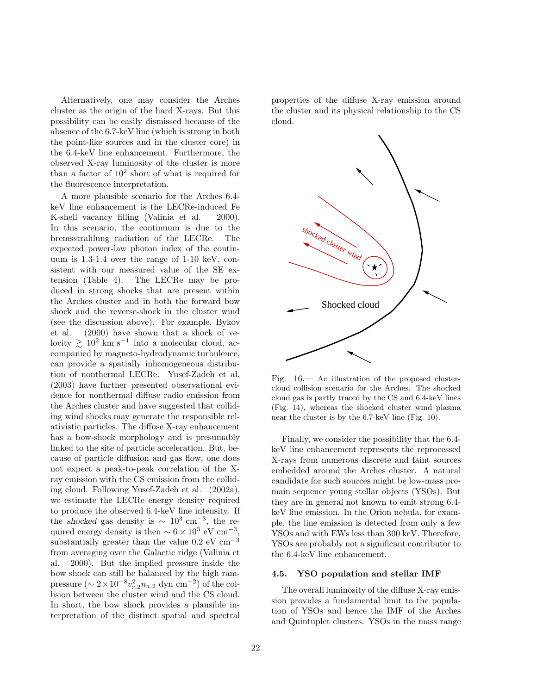Alternatively, one may consider the Arches cluster as the origin of the hard X-rays. But this possibility can be easily dismissed because of the absence of the 6.7-keV line (which is strong in both the point-like sources and in the cluster core) in the 6.4-keV line enhancement. Furthermore, the observed X-ray luminosity of the cluster is more than a factor of  $10^2$  short of what is required for the fluorescence interpretation.

A more plausible scenario for the Arches 6.4 keV line enhancement is the LECRe-induced Fe K-shell vacancy filling (Valinia et al. 2000). In this scenario, the continuum is due to the bremsstrahlung radiation of the LECRe. The expected power-law photon index of the continuum is 1.3-1.4 over the range of 1-10 keV, consistent with our measured value of the SE extension (Table 4). The LECRe may be produced in strong shocks that are present within the Arches cluster and in both the forward bow shock and the reverse-shock in the cluster wind (see the discussion above). For example, Bykov et al. (2000) have shown that a shock of velocity  $\gtrsim 10^2$  km s<sup>-1</sup> into a molecular cloud, accompanied by magneto-hydrodynamic turbulence, can provide a spatially inhomogeneous distribution of nonthermal LECRe. Yusef-Zadeh et al. (2003) have further presented observational evidence for nonthermal diffuse radio emission from the Arches cluster and have suggested that colliding wind shocks may generate the responsible relativistic particles. The diffuse X-ray enhancement has a bow-shock morphology and is presumably linked to the site of particle acceleration. But, because of particle diffusion and gas flow, one does not expect a peak-to-peak correlation of the Xray emission with the CS emission from the colliding cloud. Following Yusef-Zadeh et al. (2002a), we estimate the LECRe energy density required to produce the observed 6.4-keV line intensity. If the shocked gas density is  $\sim 10^3$  cm<sup>-3</sup>, the required energy density is then  $\sim 6 \times 10^3$  eV cm<sup>-3</sup>, substantially greater than the value  $0.2 \text{ eV cm}^{-3}$ from averaging over the Galactic ridge (Valinia et al. 2000). But the implied pressure inside the bow shock can still be balanced by the high rampressure  $(\sim 2 \times 10^{-8} v_{r,2}^2 n_{a,2} \text{ dyn cm}^{-2})$  of the collision between the cluster wind and the CS cloud. In short, the bow shock provides a plausible interpretation of the distinct spatial and spectral

properties of the diffuse X-ray emission around the cluster and its physical relationship to the CS cloud.



Fig. 16.— An illustration of the proposed clustercloud collision scenario for the Arches. The shocked cloud gas is partly traced by the CS and 6.4-keV lines (Fig. 14), whereas the shocked cluster wind plasma near the cluster is by the 6.7-keV line (Fig. 10).

Finally, we consider the possibility that the 6.4 keV line enhancement represents the reprocessed X-rays from numerous discrete and faint sources embedded around the Arches cluster. A natural candidate for such sources might be low-mass premain sequence young stellar objects (YSOs). But they are in general not known to emit strong 6.4 keV line emission. In the Orion nebula, for example, the line emission is detected from only a few YSOs and with EWs less than 300 keV. Therefore, YSOs are probably not a significant contributor to the 6.4-keV line enhancement.

#### 4.5. YSO population and stellar IMF

The overall luminosity of the diffuse X-ray emission provides a fundamental limit to the population of YSOs and hence the IMF of the Arches and Quintuplet clusters. YSOs in the mass range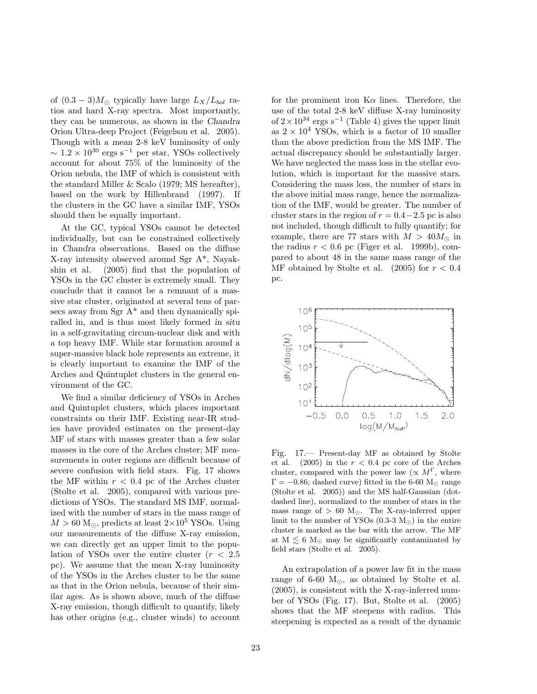of  $(0.3-3)M_{\odot}$  typically have large  $L_X/L_{bol}$  ratios and hard X-ray spectra. Most importantly, they can be numerous, as shown in the Chandra Orion Ultra-deep Project (Feigelson et al. 2005). Though with a mean 2-8 keV luminosity of only  $\sim 1.2 \times 10^{30}$  ergs s<sup>-1</sup> per star, YSOs collectively account for about 75% of the luminosity of the Orion nebula, the IMF of which is consistent with the standard Miller & Scalo (1979; MS hereafter), based on the work by Hillenbrand (1997). If the clusters in the GC have a similar IMF, YSOs should then be equally important.

At the GC, typical YSOs cannot be detected individually, but can be constrained collectively in Chandra observations. Based on the diffuse X-ray intensity observed around Sgr A\*, Nayakshin et al. (2005) find that the population of YSOs in the GC cluster is extremely small. They conclude that it cannot be a remnant of a massive star cluster, originated at several tens of parsecs away from Sgr A\* and then dynamically spiralled in, and is thus most likely formed in situ in a self-gravitating circum-nuclear disk and with a top heavy IMF. While star formation around a super-massive black hole represents an extreme, it is clearly important to examine the IMF of the Arches and Quintuplet clusters in the general environment of the GC.

We find a similar deficiency of YSOs in Arches and Quintuplet clusters, which places important constraints on their IMF. Existing near-IR studies have provided estimates on the present-day MF of stars with masses greater than a few solar masses in the core of the Arches cluster; MF measurements in outer regions are difficult because of severe confusion with field stars. Fig. 17 shows the MF within  $r < 0.4$  pc of the Arches cluster (Stolte et al. 2005), compared with various predictions of YSOs. The standard MS IMF, normalized with the number of stars in the mass range of  $M > 60$  M<sub>☉</sub>, predicts at least  $2 \times 10^5$  YSOs. Using our measurements of the diffuse X-ray emission, we can directly get an upper limit to the population of YSOs over the entire cluster  $(r < 2.5)$ pc). We assume that the mean X-ray luminosity of the YSOs in the Arches cluster to be the same as that in the Orion nebula, because of their similar ages. As is shown above, much of the diffuse X-ray emission, though difficult to quantify, likely has other origins (e.g., cluster winds) to account

for the prominent iron  $K\alpha$  lines. Therefore, the use of the total 2-8 keV diffuse X-ray luminosity of  $2 \times 10^{34}$  ergs s<sup>-1</sup> (Table 4) gives the upper limit as  $2 \times 10^4$  YSOs, which is a factor of 10 smaller than the above prediction from the MS IMF. The actual discrepancy should be substantially larger. We have neglected the mass loss in the stellar evolution, which is important for the massive stars. Considering the mass loss, the number of stars in the above initial mass range, hence the normalization of the IMF, would be greater. The number of cluster stars in the region of  $r = 0.4-2.5$  pc is also not included, though difficult to fully quantify; for example, there are 77 stars with  $M > 40 M_{\odot}$  in the radius  $r < 0.6$  pc (Figer et al. 1999b), compared to about 48 in the same mass range of the MF obtained by Stolte et al.  $(2005)$  for  $r < 0.4$ pc.



Fig. 17.— Present-day MF as obtained by Stolte et al. (2005) in the  $r < 0.4$  pc core of the Arches cluster, compared with the power law  $(\propto M^{\Gamma})$ , where  $\Gamma = -0.86$ ; dashed curve) fitted in the 6-60 M<sub>☉</sub> range (Stolte et al. 2005)) and the MS half-Gaussian (dotdashed line), normalized to the number of stars in the mass range of  $> 60$  M<sub>☉</sub>. The X-ray-inferred upper limit to the number of YSOs  $(0.3-3 M_{\odot})$  in the entire cluster is marked as the bar with the arrow. The MF at  $M \lesssim 6$  M<sub>☉</sub> may be significantly contaminated by field stars (Stolte et al. 2005).

An extrapolation of a power law fit in the mass range of 6-60  $M_{\odot}$ , as obtained by Stolte et al. (2005), is consistent with the X-ray-inferred number of YSOs (Fig. 17). But, Stolte et al. (2005) shows that the MF steepens with radius. This steepening is expected as a result of the dynamic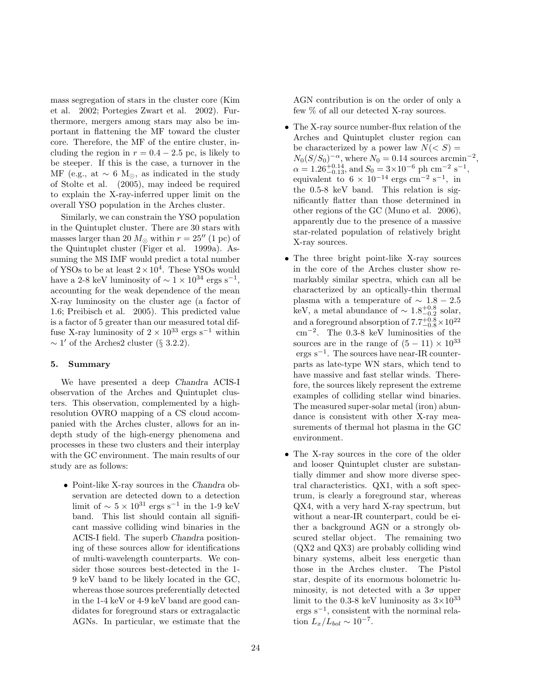mass segregation of stars in the cluster core (Kim et al. 2002; Portegies Zwart et al. 2002). Furthermore, mergers among stars may also be important in flattening the MF toward the cluster core. Therefore, the MF of the entire cluster, including the region in  $r = 0.4 - 2.5$  pc, is likely to be steeper. If this is the case, a turnover in the MF (e.g., at  $\sim 6$  M<sub>☉</sub>, as indicated in the study of Stolte et al. (2005), may indeed be required to explain the X-ray-inferred upper limit on the overall YSO population in the Arches cluster.

Similarly, we can constrain the YSO population in the Quintuplet cluster. There are 30 stars with masses larger than 20  $M_{\odot}$  within  $r = 25''$  (1 pc) of the Quintuplet cluster (Figer et al. 1999a). Assuming the MS IMF would predict a total number of YSOs to be at least  $2 \times 10^4$ . These YSOs would have a 2-8 keV luminosity of  $\sim 1 \times 10^{34}$  ergs s<sup>-1</sup>, accounting for the weak dependence of the mean X-ray luminosity on the cluster age (a factor of 1.6; Preibisch et al. 2005). This predicted value is a factor of 5 greater than our measured total diffuse X-ray luminosity of  $2 \times 10^{33}$  ergs s<sup>-1</sup> within  $\sim 1'$  of the Arches2 cluster (§ 3.2.2).

# 5. Summary

We have presented a deep Chandra ACIS-I observation of the Arches and Quintuplet clusters. This observation, complemented by a highresolution OVRO mapping of a CS cloud accompanied with the Arches cluster, allows for an indepth study of the high-energy phenomena and processes in these two clusters and their interplay with the GC environment. The main results of our study are as follows:

• Point-like X-ray sources in the Chandra observation are detected down to a detection limit of  $\sim 5 \times 10^{31}$  ergs s<sup>-1</sup> in the 1-9 keV band. This list should contain all significant massive colliding wind binaries in the ACIS-I field. The superb Chandra positioning of these sources allow for identifications of multi-wavelength counterparts. We consider those sources best-detected in the 1- 9 keV band to be likely located in the GC, whereas those sources preferentially detected in the 1-4 keV or 4-9 keV band are good candidates for foreground stars or extragalactic AGNs. In particular, we estimate that the

AGN contribution is on the order of only a few % of all our detected X-ray sources.

- The X-ray source number-flux relation of the Arches and Quintuplet cluster region can be characterized by a power law  $N(< S)$  =  $N_0(S/S_0)^{-\alpha}$ , where  $N_0 = 0.14$  sources arcmin<sup>-2</sup>,  $\alpha = 1.26_{-0.13}^{+0.14}$ , and  $S_0 = 3 \times 10^{-6}$  ph cm<sup>-2</sup> s<sup>-1</sup>, equivalent to  $6 \times 10^{-14}$  ergs cm<sup>-2</sup> s<sup>-1</sup>, in the 0.5-8 keV band. This relation is significantly flatter than those determined in other regions of the GC (Muno et al. 2006), apparently due to the presence of a massive star-related population of relatively bright X-ray sources.
- The three bright point-like X-ray sources in the core of the Arches cluster show remarkably similar spectra, which can all be characterized by an optically-thin thermal plasma with a temperature of  $\sim 1.8 - 2.5$ keV, a metal abundance of  $\sim 1.8_{-0.2}^{+0.8}$  solar, and a foreground absorption of  $7.7^{+0.8}_{-0.8}\times10^{22}$ cm<sup>−</sup><sup>2</sup> . The 0.3-8 keV luminosities of the sources are in the range of  $(5 - 11) \times 10^{33}$ ergs s<sup>−</sup><sup>1</sup> . The sources have near-IR counterparts as late-type WN stars, which tend to have massive and fast stellar winds. Therefore, the sources likely represent the extreme examples of colliding stellar wind binaries. The measured super-solar metal (iron) abundance is consistent with other X-ray measurements of thermal hot plasma in the GC environment.
- The X-ray sources in the core of the older and looser Quintuplet cluster are substantially dimmer and show more diverse spectral characteristics. QX1, with a soft spectrum, is clearly a foreground star, whereas QX4, with a very hard X-ray spectrum, but without a near-IR counterpart, could be either a background AGN or a strongly obscured stellar object. The remaining two (QX2 and QX3) are probably colliding wind binary systems, albeit less energetic than those in the Arches cluster. The Pistol star, despite of its enormous bolometric luminosity, is not detected with a  $3\sigma$  upper limit to the 0.3-8 keV luminosity as  $3\times10^{33}$ ergs s<sup>−</sup><sup>1</sup> , consistent with the norminal relation  $L_x/L_{bol} \sim 10^{-7}$ .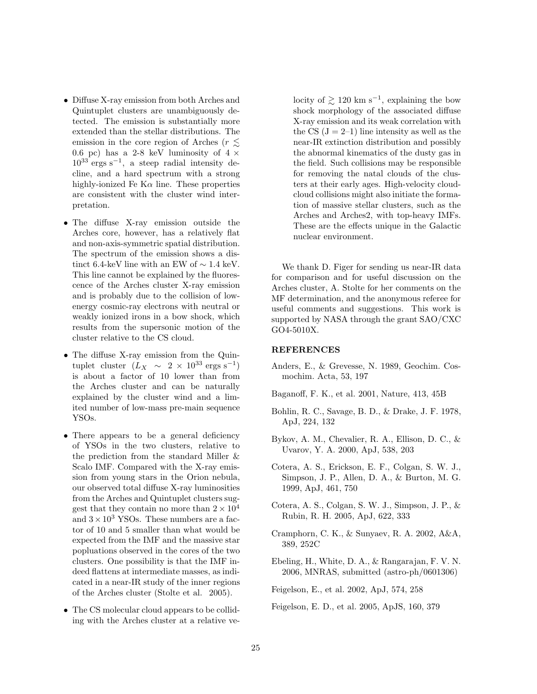- Diffuse X-ray emission from both Arches and Quintuplet clusters are unambiguously detected. The emission is substantially more extended than the stellar distributions. The emission in the core region of Arches ( $r \lesssim$ 0.6 pc) has a 2-8 keV luminosity of  $4 \times$  $10^{33}$  ergs s<sup>-1</sup>, a steep radial intensity decline, and a hard spectrum with a strong highly-ionized Fe K $\alpha$  line. These properties are consistent with the cluster wind interpretation.
- The diffuse X-ray emission outside the Arches core, however, has a relatively flat and non-axis-symmetric spatial distribution. The spectrum of the emission shows a distinct 6.4-keV line with an EW of  $\sim 1.4$  keV. This line cannot be explained by the fluorescence of the Arches cluster X-ray emission and is probably due to the collision of lowenergy cosmic-ray electrons with neutral or weakly ionized irons in a bow shock, which results from the supersonic motion of the cluster relative to the CS cloud.
- The diffuse X-ray emission from the Quintuplet cluster  $(L_X \sim 2 \times 10^{33} \text{ ergs s}^{-1})$ is about a factor of 10 lower than from the Arches cluster and can be naturally explained by the cluster wind and a limited number of low-mass pre-main sequence YSOs.
- There appears to be a general deficiency of YSOs in the two clusters, relative to the prediction from the standard Miller & Scalo IMF. Compared with the X-ray emission from young stars in the Orion nebula, our observed total diffuse X-ray luminosities from the Arches and Quintuplet clusters suggest that they contain no more than  $2 \times 10^4$ and  $3 \times 10^3$  YSOs. These numbers are a factor of 10 and 5 smaller than what would be expected from the IMF and the massive star popluations observed in the cores of the two clusters. One possibility is that the IMF indeed flattens at intermediate masses, as indicated in a near-IR study of the inner regions of the Arches cluster (Stolte et al. 2005).
- The CS molecular cloud appears to be colliding with the Arches cluster at a relative ve-

locity of  $\geq 120$  km s<sup>-1</sup>, explaining the bow shock morphology of the associated diffuse X-ray emission and its weak correlation with the CS  $(J = 2-1)$  line intensity as well as the near-IR extinction distribution and possibly the abnormal kinematics of the dusty gas in the field. Such collisions may be responsible for removing the natal clouds of the clusters at their early ages. High-velocity cloudcloud collisions might also initiate the formation of massive stellar clusters, such as the Arches and Arches2, with top-heavy IMFs. These are the effects unique in the Galactic nuclear environment.

We thank D. Figer for sending us near-IR data for comparison and for useful discussion on the Arches cluster, A. Stolte for her comments on the MF determination, and the anonymous referee for useful comments and suggestions. This work is supported by NASA through the grant SAO/CXC GO4-5010X.

# REFERENCES

- Anders, E., & Grevesse, N. 1989, Geochim. Cosmochim. Acta, 53, 197
- Baganoff, F. K., et al. 2001, Nature, 413, 45B
- Bohlin, R. C., Savage, B. D., & Drake, J. F. 1978, ApJ, 224, 132
- Bykov, A. M., Chevalier, R. A., Ellison, D. C., & Uvarov, Y. A. 2000, ApJ, 538, 203
- Cotera, A. S., Erickson, E. F., Colgan, S. W. J., Simpson, J. P., Allen, D. A., & Burton, M. G. 1999, ApJ, 461, 750
- Cotera, A. S., Colgan, S. W. J., Simpson, J. P., & Rubin, R. H. 2005, ApJ, 622, 333
- Cramphorn, C. K., & Sunyaev, R. A. 2002, A&A, 389, 252C
- Ebeling, H., White, D. A., & Rangarajan, F. V. N. 2006, MNRAS, submitted (astro-ph/0601306)
- Feigelson, E., et al. 2002, ApJ, 574, 258
- Feigelson, E. D., et al. 2005, ApJS, 160, 379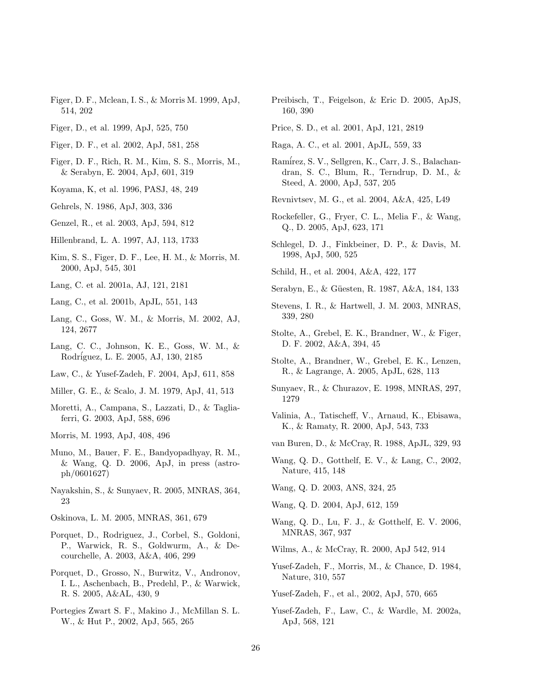- Figer, D. F., Mclean, I. S., & Morris M. 1999, ApJ, 514, 202
- Figer, D., et al. 1999, ApJ, 525, 750
- Figer, D. F., et al. 2002, ApJ, 581, 258
- Figer, D. F., Rich, R. M., Kim, S. S., Morris, M., & Serabyn, E. 2004, ApJ, 601, 319
- Koyama, K, et al. 1996, PASJ, 48, 249
- Gehrels, N. 1986, ApJ, 303, 336
- Genzel, R., et al. 2003, ApJ, 594, 812
- Hillenbrand, L. A. 1997, AJ, 113, 1733
- Kim, S. S., Figer, D. F., Lee, H. M., & Morris, M. 2000, ApJ, 545, 301
- Lang, C. et al. 2001a, AJ, 121, 2181
- Lang, C., et al. 2001b, ApJL, 551, 143
- Lang, C., Goss, W. M., & Morris, M. 2002, AJ, 124, 2677
- Lang, C. C., Johnson, K. E., Goss, W. M., & Rodr´iguez, L. E. 2005, AJ, 130, 2185
- Law, C., & Yusef-Zadeh, F. 2004, ApJ, 611, 858
- Miller, G. E., & Scalo, J. M. 1979, ApJ, 41, 513
- Moretti, A., Campana, S., Lazzati, D., & Tagliaferri, G. 2003, ApJ, 588, 696
- Morris, M. 1993, ApJ, 408, 496
- Muno, M., Bauer, F. E., Bandyopadhyay, R. M., & Wang, Q. D. 2006, ApJ, in press (astroph/0601627)
- Nayakshin, S., & Sunyaev, R. 2005, MNRAS, 364, 23
- Oskinova, L. M. 2005, MNRAS, 361, 679
- Porquet, D., Rodriguez, J., Corbel, S., Goldoni, P., Warwick, R. S., Goldwurm, A., & Decourchelle, A. 2003, A&A, 406, 299
- Porquet, D., Grosso, N., Burwitz, V., Andronov, I. L., Aschenbach, B., Predehl, P., & Warwick, R. S. 2005, A&AL, 430, 9
- Portegies Zwart S. F., Makino J., McMillan S. L. W., & Hut P., 2002, ApJ, 565, 265
- Preibisch, T., Feigelson, & Eric D. 2005, ApJS, 160, 390
- Price, S. D., et al. 2001, ApJ, 121, 2819
- Raga, A. C., et al. 2001, ApJL, 559, 33
- Ram´irez, S. V., Sellgren, K., Carr, J. S., Balachandran, S. C., Blum, R., Terndrup, D. M., & Steed, A. 2000, ApJ, 537, 205
- Revnivtsev, M. G., et al. 2004, A&A, 425, L49
- Rockefeller, G., Fryer, C. L., Melia F., & Wang, Q., D. 2005, ApJ, 623, 171
- Schlegel, D. J., Finkbeiner, D. P., & Davis, M. 1998, ApJ, 500, 525
- Schild, H., et al. 2004, A&A, 422, 177
- Serabyn, E., & Güesten, R. 1987, A&A, 184, 133
- Stevens, I. R., & Hartwell, J. M. 2003, MNRAS, 339, 280
- Stolte, A., Grebel, E. K., Brandner, W., & Figer, D. F. 2002, A&A, 394, 45
- Stolte, A., Brandner, W., Grebel, E. K., Lenzen, R., & Lagrange, A. 2005, ApJL, 628, 113
- Sunyaev, R., & Churazov, E. 1998, MNRAS, 297, 1279
- Valinia, A., Tatischeff, V., Arnaud, K., Ebisawa, K., & Ramaty, R. 2000, ApJ, 543, 733
- van Buren, D., & McCray, R. 1988, ApJL, 329, 93
- Wang, Q. D., Gotthelf, E. V., & Lang, C., 2002, Nature, 415, 148

Wang, Q. D. 2003, ANS, 324, 25

Wang, Q. D. 2004, ApJ, 612, 159

Wang, Q. D., Lu, F. J., & Gotthelf, E. V. 2006, MNRAS, 367, 937

Wilms, A., & McCray, R. 2000, ApJ 542, 914

Yusef-Zadeh, F., Morris, M., & Chance, D. 1984, Nature, 310, 557

Yusef-Zadeh, F., et al., 2002, ApJ, 570, 665

Yusef-Zadeh, F., Law, C., & Wardle, M. 2002a, ApJ, 568, 121